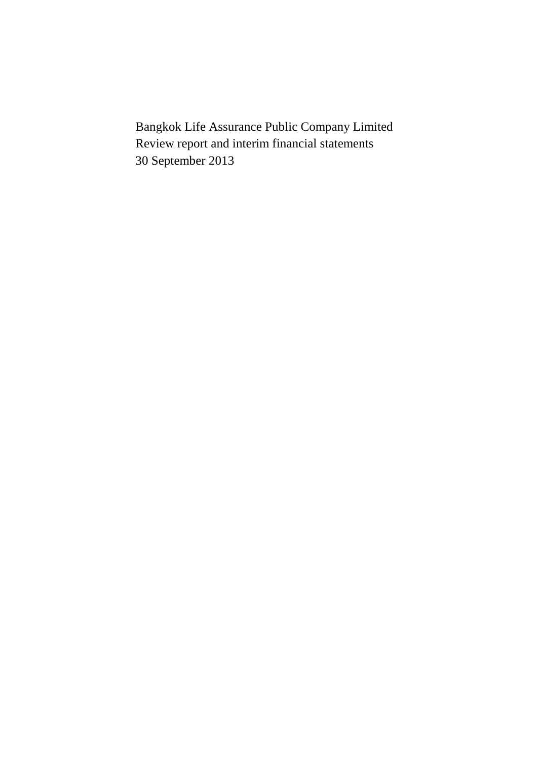Bangkok Life Assurance Public Company Limited Review report and interim financial statements 30 September 2013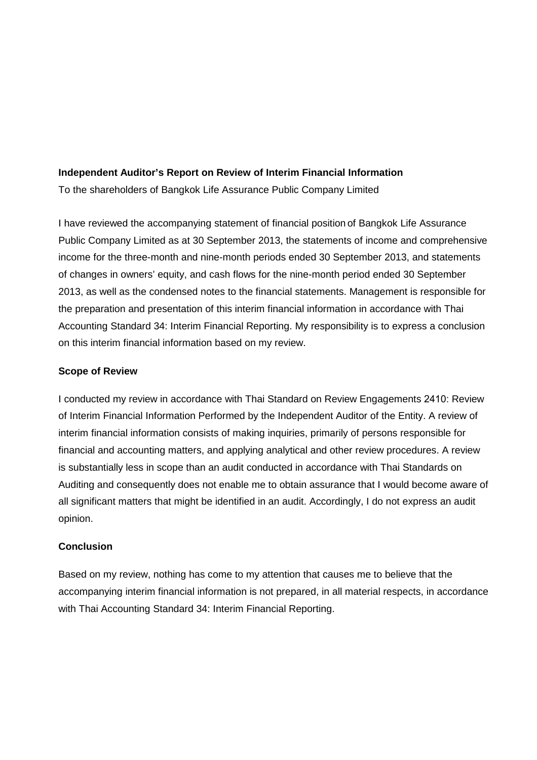### **Independent Auditor's Report on Review of Interim Financial Information**

To the shareholders of Bangkok Life Assurance Public Company Limited

I have reviewed the accompanying statement of financial position of Bangkok Life Assurance Public Company Limited as at 30 September 2013, the statements of income and comprehensive income for the three-month and nine-month periods ended 30 September 2013, and statements of changes in owners' equity, and cash flows for the nine-month period ended 30 September 2013, as well as the condensed notes to the financial statements. Management is responsible for the preparation and presentation of this interim financial information in accordance with Thai Accounting Standard 34: Interim Financial Reporting. My responsibility is to express a conclusion on this interim financial information based on my review.

### **Scope of Review**

I conducted my review in accordance with Thai Standard on Review Engagements 2410: Review of Interim Financial Information Performed by the Independent Auditor of the Entity. A review of interim financial information consists of making inquiries, primarily of persons responsible for financial and accounting matters, and applying analytical and other review procedures. A review is substantially less in scope than an audit conducted in accordance with Thai Standards on Auditing and consequently does not enable me to obtain assurance that I would become aware of all significant matters that might be identified in an audit. Accordingly, I do not express an audit opinion.

## **Conclusion**

Based on my review, nothing has come to my attention that causes me to believe that the accompanying interim financial information is not prepared, in all material respects, in accordance with Thai Accounting Standard 34: Interim Financial Reporting.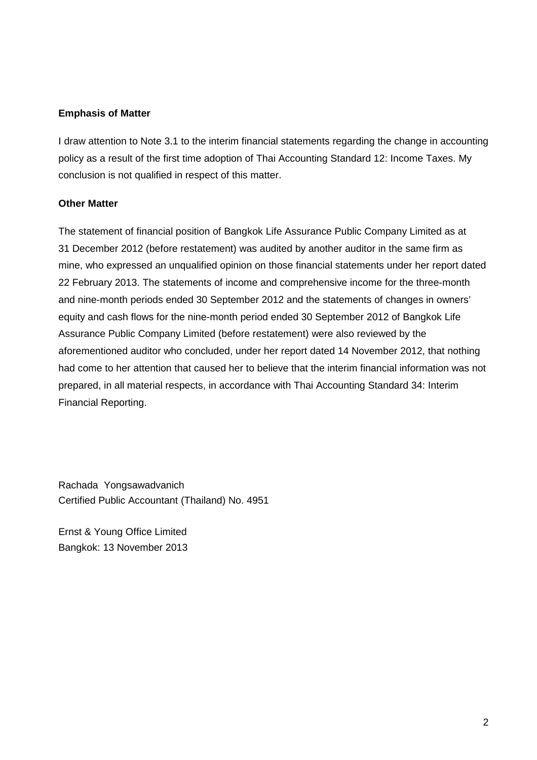## **Emphasis of Matter**

I draw attention to Note 3.1 to the interim financial statements regarding the change in accounting policy as a result of the first time adoption of Thai Accounting Standard 12: Income Taxes. My conclusion is not qualified in respect of this matter.

## **Other Matter**

The statement of financial position of Bangkok Life Assurance Public Company Limited as at 31 December 2012 (before restatement) was audited by another auditor in the same firm as mine, who expressed an unqualified opinion on those financial statements under her report dated 22 February 2013. The statements of income and comprehensive income for the three-month and nine-month periods ended 30 September 2012 and the statements of changes in owners' equity and cash flows for the nine-month period ended 30 September 2012 of Bangkok Life Assurance Public Company Limited (before restatement) were also reviewed by the aforementioned auditor who concluded, under her report dated 14 November 2012, that nothing had come to her attention that caused her to believe that the interim financial information was not prepared, in all material respects, in accordance with Thai Accounting Standard 34: Interim Financial Reporting.

Rachada Yongsawadvanich Certified Public Accountant (Thailand) No. 4951

Ernst & Young Office Limited Bangkok: 13 November 2013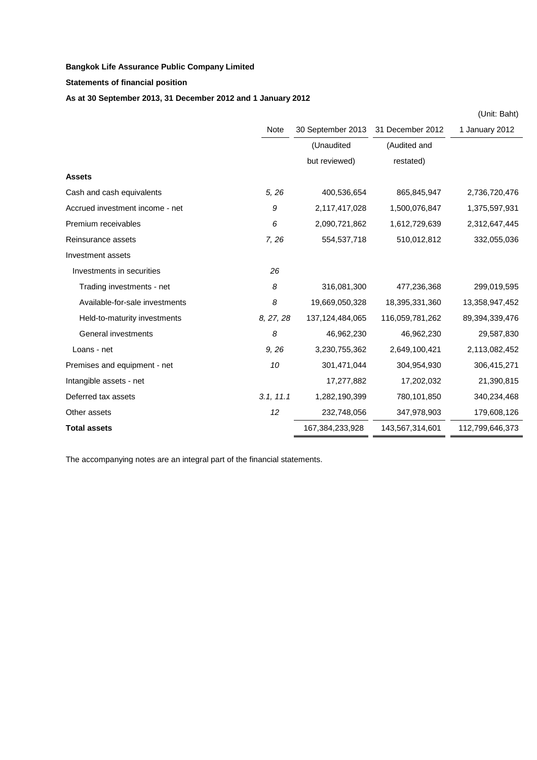**Statements of financial position**

### **As at 30 September 2013, 31 December 2012 and 1 January 2012**

|                                 |           |                   |                  | (Unit: Baht)    |
|---------------------------------|-----------|-------------------|------------------|-----------------|
|                                 | Note      | 30 September 2013 | 31 December 2012 | 1 January 2012  |
|                                 |           | (Unaudited        | (Audited and     |                 |
|                                 |           | but reviewed)     | restated)        |                 |
| <b>Assets</b>                   |           |                   |                  |                 |
| Cash and cash equivalents       | 5, 26     | 400,536,654       | 865,845,947      | 2,736,720,476   |
| Accrued investment income - net | 9         | 2,117,417,028     | 1,500,076,847    | 1,375,597,931   |
| Premium receivables             | 6         | 2,090,721,862     | 1,612,729,639    | 2,312,647,445   |
| Reinsurance assets              | 7, 26     | 554,537,718       | 510,012,812      | 332,055,036     |
| Investment assets               |           |                   |                  |                 |
| Investments in securities       | 26        |                   |                  |                 |
| Trading investments - net       | 8         | 316,081,300       | 477,236,368      | 299,019,595     |
| Available-for-sale investments  | 8         | 19,669,050,328    | 18,395,331,360   | 13,358,947,452  |
| Held-to-maturity investments    | 8, 27, 28 | 137,124,484,065   | 116,059,781,262  | 89,394,339,476  |
| General investments             | 8         | 46,962,230        | 46,962,230       | 29,587,830      |
| Loans - net                     | 9,26      | 3,230,755,362     | 2,649,100,421    | 2,113,082,452   |
| Premises and equipment - net    | 10        | 301,471,044       | 304,954,930      | 306,415,271     |
| Intangible assets - net         |           | 17,277,882        | 17,202,032       | 21,390,815      |
| Deferred tax assets             | 3.1, 11.1 | 1,282,190,399     | 780,101,850      | 340,234,468     |
| Other assets                    | 12        | 232,748,056       | 347,978,903      | 179,608,126     |
| <b>Total assets</b>             |           | 167,384,233,928   | 143,567,314,601  | 112,799,646,373 |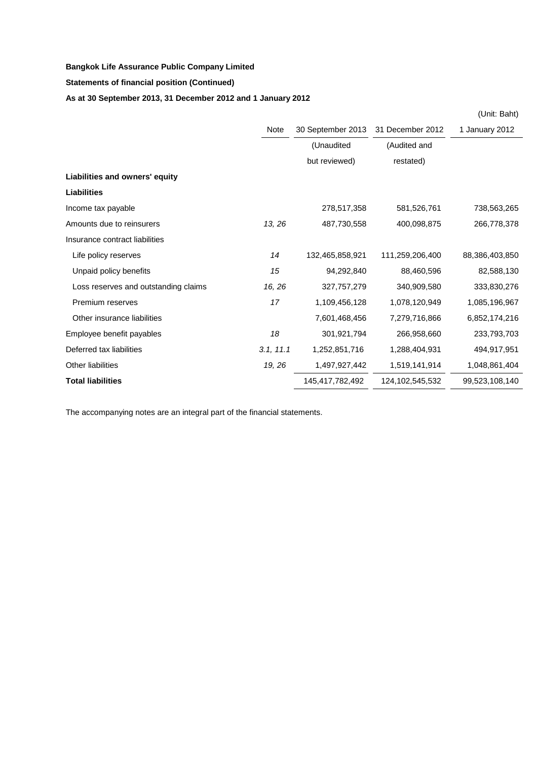### **Statements of financial position (Continued)**

## **As at 30 September 2013, 31 December 2012 and 1 January 2012**

|                                      |           |                   |                  | (Unit: Baht)   |
|--------------------------------------|-----------|-------------------|------------------|----------------|
|                                      | Note      | 30 September 2013 | 31 December 2012 | 1 January 2012 |
|                                      |           | (Unaudited        | (Audited and     |                |
|                                      |           | but reviewed)     | restated)        |                |
| Liabilities and owners' equity       |           |                   |                  |                |
| <b>Liabilities</b>                   |           |                   |                  |                |
| Income tax payable                   |           | 278,517,358       | 581,526,761      | 738,563,265    |
| Amounts due to reinsurers            | 13, 26    | 487,730,558       | 400,098,875      | 266,778,378    |
| Insurance contract liabilities       |           |                   |                  |                |
| Life policy reserves                 | 14        | 132,465,858,921   | 111,259,206,400  | 88,386,403,850 |
| Unpaid policy benefits               | 15        | 94,292,840        | 88,460,596       | 82,588,130     |
| Loss reserves and outstanding claims | 16, 26    | 327,757,279       | 340,909,580      | 333,830,276    |
| Premium reserves                     | 17        | 1,109,456,128     | 1,078,120,949    | 1,085,196,967  |
| Other insurance liabilities          |           | 7,601,468,456     | 7,279,716,866    | 6,852,174,216  |
| Employee benefit payables            | 18        | 301,921,794       | 266,958,660      | 233,793,703    |
| Deferred tax liabilities             | 3.1, 11.1 | 1,252,851,716     | 1,288,404,931    | 494,917,951    |
| Other liabilities                    | 19, 26    | 1,497,927,442     | 1,519,141,914    | 1,048,861,404  |
| <b>Total liabilities</b>             |           | 145,417,782,492   | 124,102,545,532  | 99,523,108,140 |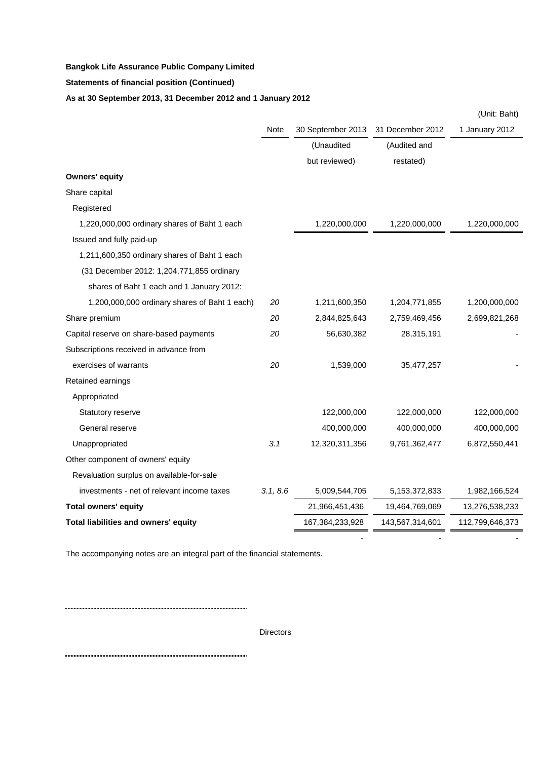**Statements of financial position (Continued)**

## **As at 30 September 2013, 31 December 2012 and 1 January 2012**

|                                               |          |                   |                  | (Unit: Baht)    |
|-----------------------------------------------|----------|-------------------|------------------|-----------------|
|                                               | Note     | 30 September 2013 | 31 December 2012 | 1 January 2012  |
|                                               |          | (Unaudited        | (Audited and     |                 |
|                                               |          | but reviewed)     | restated)        |                 |
| <b>Owners' equity</b>                         |          |                   |                  |                 |
| Share capital                                 |          |                   |                  |                 |
| Registered                                    |          |                   |                  |                 |
| 1,220,000,000 ordinary shares of Baht 1 each  |          | 1,220,000,000     | 1,220,000,000    | 1,220,000,000   |
| Issued and fully paid-up                      |          |                   |                  |                 |
| 1,211,600,350 ordinary shares of Baht 1 each  |          |                   |                  |                 |
| (31 December 2012: 1,204,771,855 ordinary     |          |                   |                  |                 |
| shares of Baht 1 each and 1 January 2012:     |          |                   |                  |                 |
| 1,200,000,000 ordinary shares of Baht 1 each) | 20       | 1,211,600,350     | 1,204,771,855    | 1,200,000,000   |
| Share premium                                 | 20       | 2,844,825,643     | 2,759,469,456    | 2,699,821,268   |
| Capital reserve on share-based payments       | 20       | 56,630,382        | 28,315,191       |                 |
| Subscriptions received in advance from        |          |                   |                  |                 |
| exercises of warrants                         | 20       | 1,539,000         | 35,477,257       |                 |
| Retained earnings                             |          |                   |                  |                 |
| Appropriated                                  |          |                   |                  |                 |
| Statutory reserve                             |          | 122,000,000       | 122,000,000      | 122,000,000     |
| General reserve                               |          | 400,000,000       | 400,000,000      | 400,000,000     |
| Unappropriated                                | 3.1      | 12,320,311,356    | 9,761,362,477    | 6,872,550,441   |
| Other component of owners' equity             |          |                   |                  |                 |
| Revaluation surplus on available-for-sale     |          |                   |                  |                 |
| investments - net of relevant income taxes    | 3.1, 8.6 | 5,009,544,705     | 5, 153, 372, 833 | 1,982,166,524   |
| <b>Total owners' equity</b>                   |          | 21,966,451,436    | 19,464,769,069   | 13,276,538,233  |
| Total liabilities and owners' equity          |          | 167,384,233,928   | 143,567,314,601  | 112,799,646,373 |

The accompanying notes are an integral part of the financial statements.

. . . . . . .

Directors

- - -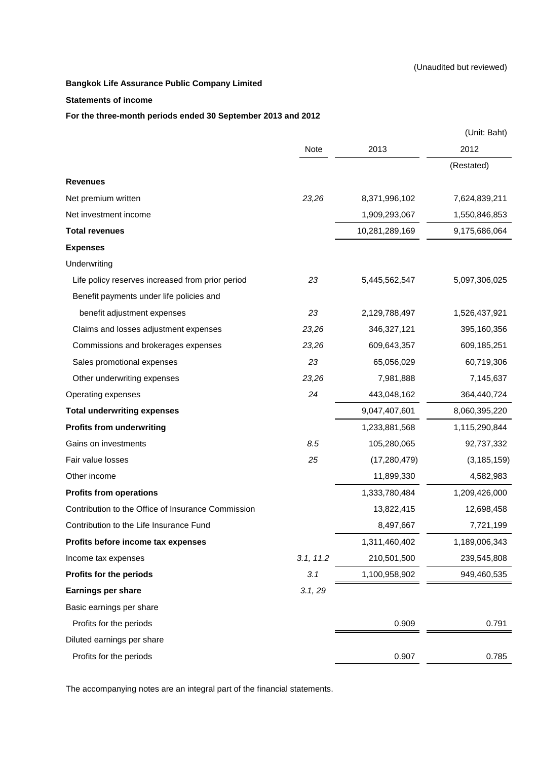#### **Statements of income**

### **For the three-month periods ended 30 September 2013 and 2012**

|                                                    |           |                | (Unit: Baht)  |
|----------------------------------------------------|-----------|----------------|---------------|
|                                                    | Note      | 2013           | 2012          |
|                                                    |           |                | (Restated)    |
| <b>Revenues</b>                                    |           |                |               |
| Net premium written                                | 23,26     | 8,371,996,102  | 7,624,839,211 |
| Net investment income                              |           | 1,909,293,067  | 1,550,846,853 |
| <b>Total revenues</b>                              |           | 10,281,289,169 | 9,175,686,064 |
| <b>Expenses</b>                                    |           |                |               |
| Underwriting                                       |           |                |               |
| Life policy reserves increased from prior period   | 23        | 5,445,562,547  | 5,097,306,025 |
| Benefit payments under life policies and           |           |                |               |
| benefit adjustment expenses                        | 23        | 2,129,788,497  | 1,526,437,921 |
| Claims and losses adjustment expenses              | 23,26     | 346,327,121    | 395,160,356   |
| Commissions and brokerages expenses                | 23,26     | 609,643,357    | 609,185,251   |
| Sales promotional expenses                         | 23        | 65,056,029     | 60,719,306    |
| Other underwriting expenses                        | 23,26     | 7,981,888      | 7,145,637     |
| Operating expenses                                 | 24        | 443,048,162    | 364,440,724   |
| <b>Total underwriting expenses</b>                 |           | 9,047,407,601  | 8,060,395,220 |
| <b>Profits from underwriting</b>                   |           | 1,233,881,568  | 1,115,290,844 |
| Gains on investments                               | 8.5       | 105,280,065    | 92,737,332    |
| Fair value losses                                  | 25        | (17, 280, 479) | (3, 185, 159) |
| Other income                                       |           | 11,899,330     | 4,582,983     |
| <b>Profits from operations</b>                     |           | 1,333,780,484  | 1,209,426,000 |
| Contribution to the Office of Insurance Commission |           | 13,822,415     | 12,698,458    |
| Contribution to the Life Insurance Fund            |           | 8,497,667      | 7,721,199     |
| Profits before income tax expenses                 |           | 1,311,460,402  | 1,189,006,343 |
| Income tax expenses                                | 3.1, 11.2 | 210,501,500    | 239,545,808   |
| Profits for the periods                            | 3.1       | 1,100,958,902  | 949,460,535   |
| <b>Earnings per share</b>                          | 3.1, 29   |                |               |
| Basic earnings per share                           |           |                |               |
| Profits for the periods                            |           | 0.909          | 0.791         |
| Diluted earnings per share                         |           |                |               |
| Profits for the periods                            |           | 0.907          | 0.785         |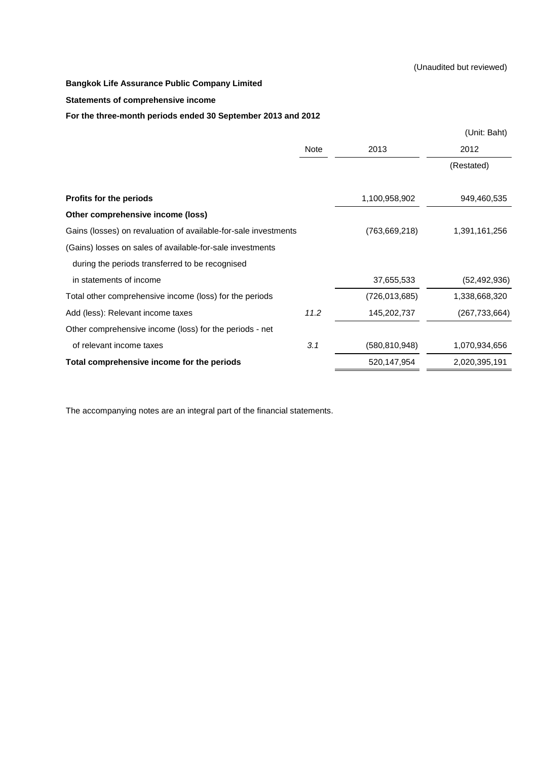### **Statements of comprehensive income**

### **For the three-month periods ended 30 September 2013 and 2012**

|                                                                 |      |                 | (Unit: Baht)    |
|-----------------------------------------------------------------|------|-----------------|-----------------|
|                                                                 | Note | 2013            | 2012            |
|                                                                 |      |                 | (Restated)      |
| Profits for the periods                                         |      | 1,100,958,902   | 949,460,535     |
| Other comprehensive income (loss)                               |      |                 |                 |
| Gains (losses) on revaluation of available-for-sale investments |      | (763, 669, 218) | 1,391,161,256   |
| (Gains) losses on sales of available-for-sale investments       |      |                 |                 |
| during the periods transferred to be recognised                 |      |                 |                 |
| in statements of income                                         |      | 37,655,533      | (52, 492, 936)  |
| Total other comprehensive income (loss) for the periods         |      | (726, 013, 685) | 1,338,668,320   |
| Add (less): Relevant income taxes                               | 11.2 | 145,202,737     | (267, 733, 664) |
| Other comprehensive income (loss) for the periods - net         |      |                 |                 |
| of relevant income taxes                                        | 3.1  | (580, 810, 948) | 1,070,934,656   |
| Total comprehensive income for the periods                      |      | 520,147,954     | 2,020,395,191   |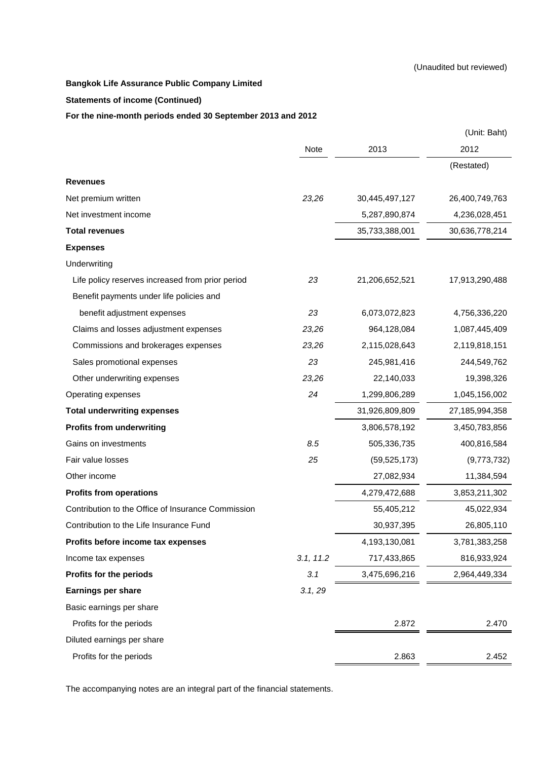### **Statements of income (Continued)**

### **For the nine-month periods ended 30 September 2013 and 2012**

|                                                    |           |                | (Unit: Baht)   |
|----------------------------------------------------|-----------|----------------|----------------|
|                                                    | Note      | 2013           | 2012           |
|                                                    |           |                | (Restated)     |
| <b>Revenues</b>                                    |           |                |                |
| Net premium written                                | 23,26     | 30,445,497,127 | 26,400,749,763 |
| Net investment income                              |           | 5,287,890,874  | 4,236,028,451  |
| <b>Total revenues</b>                              |           | 35,733,388,001 | 30,636,778,214 |
| <b>Expenses</b>                                    |           |                |                |
| Underwriting                                       |           |                |                |
| Life policy reserves increased from prior period   | 23        | 21,206,652,521 | 17,913,290,488 |
| Benefit payments under life policies and           |           |                |                |
| benefit adjustment expenses                        | 23        | 6,073,072,823  | 4,756,336,220  |
| Claims and losses adjustment expenses              | 23,26     | 964,128,084    | 1,087,445,409  |
| Commissions and brokerages expenses                | 23,26     | 2,115,028,643  | 2,119,818,151  |
| Sales promotional expenses                         | 23        | 245,981,416    | 244,549,762    |
| Other underwriting expenses                        | 23,26     | 22,140,033     | 19,398,326     |
| Operating expenses                                 | 24        | 1,299,806,289  | 1,045,156,002  |
| <b>Total underwriting expenses</b>                 |           | 31,926,809,809 | 27,185,994,358 |
| <b>Profits from underwriting</b>                   |           | 3,806,578,192  | 3,450,783,856  |
| Gains on investments                               | 8.5       | 505,336,735    | 400,816,584    |
| Fair value losses                                  | 25        | (59, 525, 173) | (9,773,732)    |
| Other income                                       |           | 27,082,934     | 11,384,594     |
| <b>Profits from operations</b>                     |           | 4,279,472,688  | 3,853,211,302  |
| Contribution to the Office of Insurance Commission |           | 55,405,212     | 45,022,934     |
| Contribution to the Life Insurance Fund            |           | 30,937,395     | 26,805,110     |
| Profits before income tax expenses                 |           | 4,193,130,081  | 3,781,383,258  |
| Income tax expenses                                | 3.1, 11.2 | 717,433,865    | 816,933,924    |
| Profits for the periods                            | 3.1       | 3,475,696,216  | 2,964,449,334  |
| <b>Earnings per share</b>                          | 3.1, 29   |                |                |
| Basic earnings per share                           |           |                |                |
| Profits for the periods                            |           | 2.872          | 2.470          |
| Diluted earnings per share                         |           |                |                |
| Profits for the periods                            |           | 2.863          | 2.452          |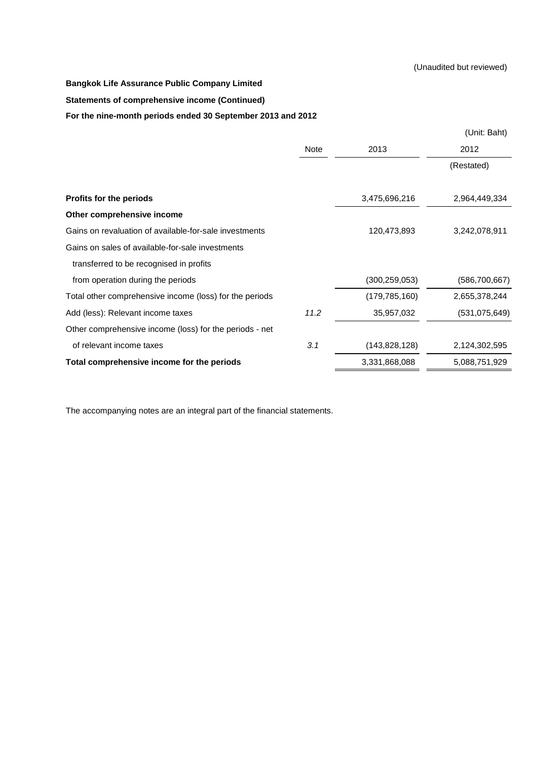### **Statements of comprehensive income (Continued)**

### **For the nine-month periods ended 30 September 2013 and 2012**

|                                                         |      |                 | (Unit: Baht)    |
|---------------------------------------------------------|------|-----------------|-----------------|
|                                                         | Note | 2013            | 2012            |
|                                                         |      |                 | (Restated)      |
| Profits for the periods                                 |      | 3,475,696,216   | 2,964,449,334   |
| Other comprehensive income                              |      |                 |                 |
| Gains on revaluation of available-for-sale investments  |      | 120,473,893     | 3,242,078,911   |
| Gains on sales of available-for-sale investments        |      |                 |                 |
| transferred to be recognised in profits                 |      |                 |                 |
| from operation during the periods                       |      | (300, 259, 053) | (586, 700, 667) |
| Total other comprehensive income (loss) for the periods |      | (179, 785, 160) | 2,655,378,244   |
| Add (less): Relevant income taxes                       | 11.2 | 35,957,032      | (531, 075, 649) |
| Other comprehensive income (loss) for the periods - net |      |                 |                 |
| of relevant income taxes                                | 3.1  | (143, 828, 128) | 2,124,302,595   |
| Total comprehensive income for the periods              |      | 3,331,868,088   | 5,088,751,929   |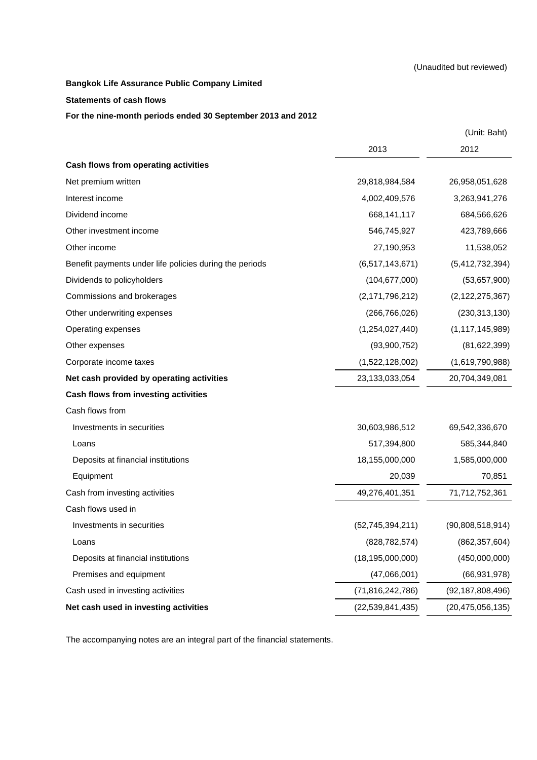### **Statements of cash flows**

### **For the nine-month periods ended 30 September 2013 and 2012**

|                                                         |                     | (Unit: Baht)        |
|---------------------------------------------------------|---------------------|---------------------|
|                                                         | 2013                | 2012                |
| Cash flows from operating activities                    |                     |                     |
| Net premium written                                     | 29,818,984,584      | 26,958,051,628      |
| Interest income                                         | 4,002,409,576       | 3,263,941,276       |
| Dividend income                                         | 668,141,117         | 684,566,626         |
| Other investment income                                 | 546,745,927         | 423,789,666         |
| Other income                                            | 27,190,953          | 11,538,052          |
| Benefit payments under life policies during the periods | (6,517,143,671)     | (5,412,732,394)     |
| Dividends to policyholders                              | (104, 677, 000)     | (53,657,900)        |
| Commissions and brokerages                              | (2, 171, 796, 212)  | (2, 122, 275, 367)  |
| Other underwriting expenses                             | (266, 766, 026)     | (230, 313, 130)     |
| Operating expenses                                      | (1,254,027,440)     | (1, 117, 145, 989)  |
| Other expenses                                          | (93,900,752)        | (81, 622, 399)      |
| Corporate income taxes                                  | (1,522,128,002)     | (1,619,790,988)     |
| Net cash provided by operating activities               | 23,133,033,054      | 20,704,349,081      |
| Cash flows from investing activities                    |                     |                     |
| Cash flows from                                         |                     |                     |
| Investments in securities                               | 30,603,986,512      | 69,542,336,670      |
| Loans                                                   | 517,394,800         | 585,344,840         |
| Deposits at financial institutions                      | 18,155,000,000      | 1,585,000,000       |
| Equipment                                               | 20,039              | 70,851              |
| Cash from investing activities                          | 49,276,401,351      | 71,712,752,361      |
| Cash flows used in                                      |                     |                     |
| Investments in securities                               | (52, 745, 394, 211) | (90,808,518,914)    |
| Loans                                                   | (828, 782, 574)     | (862, 357, 604)     |
| Deposits at financial institutions                      | (18, 195, 000, 000) | (450,000,000)       |
| Premises and equipment                                  | (47,066,001)        | (66, 931, 978)      |
| Cash used in investing activities                       | (71, 816, 242, 786) | (92, 187, 808, 496) |
| Net cash used in investing activities                   | (22, 539, 841, 435) | (20, 475, 056, 135) |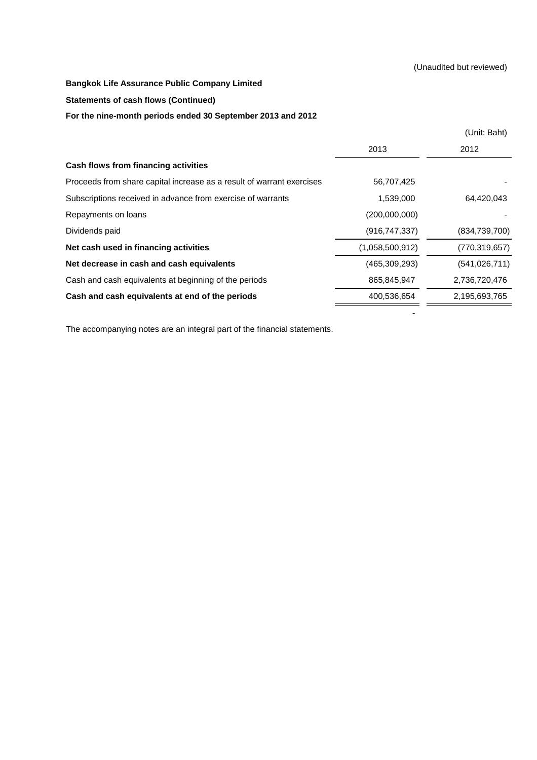### (Unaudited but reviewed)

### **Bangkok Life Assurance Public Company Limited**

### **Statements of cash flows (Continued)**

### **For the nine-month periods ended 30 September 2013 and 2012**

|                                                                       |                 | (Unit: Baht)    |
|-----------------------------------------------------------------------|-----------------|-----------------|
|                                                                       | 2013            | 2012            |
| <b>Cash flows from financing activities</b>                           |                 |                 |
| Proceeds from share capital increase as a result of warrant exercises | 56,707,425      |                 |
| Subscriptions received in advance from exercise of warrants           | 1,539,000       | 64,420,043      |
| Repayments on loans                                                   | (200,000,000)   |                 |
| Dividends paid                                                        | (916, 747, 337) | (834,739,700)   |
| Net cash used in financing activities                                 | (1,058,500,912) | (770, 319, 657) |
| Net decrease in cash and cash equivalents                             | (465, 309, 293) | (541, 026, 711) |
| Cash and cash equivalents at beginning of the periods                 | 865,845,947     | 2,736,720,476   |
| Cash and cash equivalents at end of the periods                       | 400,536,654     | 2,195,693,765   |
|                                                                       |                 |                 |

- 1990 - 1990 - 1990 - 1990 - 1991 - 1992 - 1994 - 1994 - 1994 - 1994 - 1994 - 1994 - 1994 - 1994 - 1994 - 199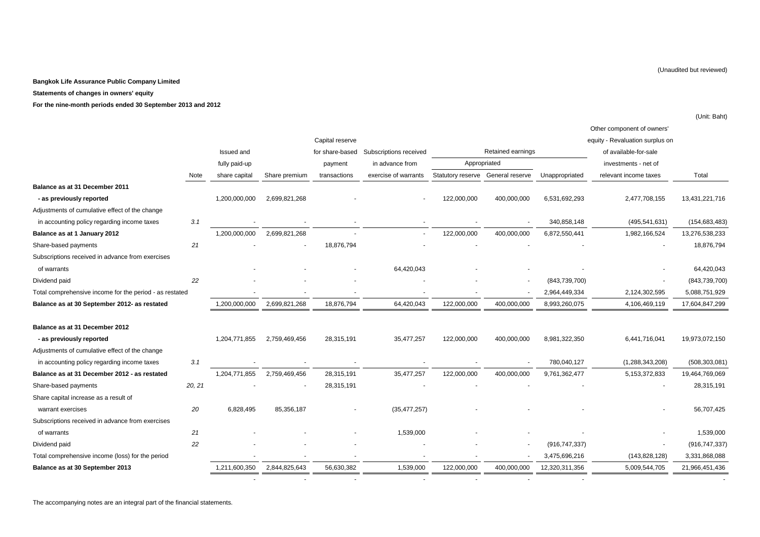#### **Statements of changes in owners' equity**

**For the nine-month periods ended 30 September 2013 and 2012**

|                                                         |        |               |               |                 |                        |                   |                   |                 | Other component of owners'      |                 |
|---------------------------------------------------------|--------|---------------|---------------|-----------------|------------------------|-------------------|-------------------|-----------------|---------------------------------|-----------------|
|                                                         |        |               |               | Capital reserve |                        |                   |                   |                 | equity - Revaluation surplus on |                 |
|                                                         |        | Issued and    |               | for share-based | Subscriptions received |                   | Retained earnings |                 | of available-for-sale           |                 |
|                                                         |        | fully paid-up |               | payment         | in advance from        | Appropriated      |                   |                 | investments - net of            |                 |
|                                                         | Note   | share capital | Share premium | transactions    | exercise of warrants   | Statutory reserve | General reserve   | Unappropriated  | relevant income taxes           | Total           |
| Balance as at 31 December 2011                          |        |               |               |                 |                        |                   |                   |                 |                                 |                 |
| - as previously reported                                |        | 1,200,000,000 | 2,699,821,268 |                 |                        | 122,000,000       | 400,000,000       | 6,531,692,293   | 2,477,708,155                   | 13,431,221,716  |
| Adjustments of cumulative effect of the change          |        |               |               |                 |                        |                   |                   |                 |                                 |                 |
| in accounting policy regarding income taxes             | 3.1    |               |               |                 |                        |                   |                   | 340,858,148     | (495, 541, 631)                 | (154, 683, 483) |
| Balance as at 1 January 2012                            |        | 1,200,000,000 | 2,699,821,268 |                 |                        | 122,000,000       | 400,000,000       | 6,872,550,441   | 1,982,166,524                   | 13,276,538,233  |
| Share-based payments                                    | 21     |               |               | 18,876,794      |                        |                   |                   |                 |                                 | 18,876,794      |
| Subscriptions received in advance from exercises        |        |               |               |                 |                        |                   |                   |                 |                                 |                 |
| of warrants                                             |        |               |               |                 | 64,420,043             |                   |                   |                 |                                 | 64,420,043      |
| Dividend paid                                           | 22     |               |               |                 |                        |                   |                   | (843, 739, 700) |                                 | (843,739,700)   |
| Total comprehensive income for the period - as restated |        |               |               |                 |                        |                   |                   | 2,964,449,334   | 2,124,302,595                   | 5,088,751,929   |
| Balance as at 30 September 2012- as restated            |        | 1,200,000,000 | 2,699,821,268 | 18,876,794      | 64,420,043             | 122,000,000       | 400,000,000       | 8,993,260,075   | 4,106,469,119                   | 17,604,847,299  |
| Balance as at 31 December 2012                          |        |               |               |                 |                        |                   |                   |                 |                                 |                 |
| - as previously reported                                |        | 1,204,771,855 | 2,759,469,456 | 28,315,191      | 35,477,257             | 122,000,000       | 400,000,000       | 8,981,322,350   | 6,441,716,041                   | 19,973,072,150  |
| Adjustments of cumulative effect of the change          |        |               |               |                 |                        |                   |                   |                 |                                 |                 |
| in accounting policy regarding income taxes             | 3.1    |               |               |                 |                        |                   |                   | 780,040,127     | (1, 288, 343, 208)              | (508, 303, 081) |
| Balance as at 31 December 2012 - as restated            |        | 1,204,771,855 | 2,759,469,456 | 28,315,191      | 35,477,257             | 122,000,000       | 400,000,000       | 9,761,362,477   | 5, 153, 372, 833                | 19,464,769,069  |
| Share-based payments                                    | 20, 21 |               |               | 28,315,191      |                        |                   |                   |                 |                                 | 28,315,191      |
| Share capital increase as a result of                   |        |               |               |                 |                        |                   |                   |                 |                                 |                 |
| warrant exercises                                       | 20     | 6,828,495     | 85,356,187    |                 | (35, 477, 257)         |                   |                   |                 |                                 | 56,707,425      |
| Subscriptions received in advance from exercises        |        |               |               |                 |                        |                   |                   |                 |                                 |                 |
| of warrants                                             | 21     |               |               |                 | 1,539,000              |                   |                   |                 |                                 | 1,539,000       |
| Dividend paid                                           | 22     |               |               |                 |                        |                   |                   | (916, 747, 337) |                                 | (916, 747, 337) |
| Total comprehensive income (loss) for the period        |        |               |               |                 |                        |                   |                   | 3,475,696,216   | (143, 828, 128)                 | 3,331,868,088   |
| Balance as at 30 September 2013                         |        | 1,211,600,350 | 2,844,825,643 | 56,630,382      | 1,539,000              | 122,000,000       | 400,000,000       | 12,320,311,356  | 5,009,544,705                   | 21,966,451,436  |
|                                                         |        |               |               |                 |                        |                   |                   |                 |                                 |                 |

(Unit: Baht)

(Unaudited but reviewed)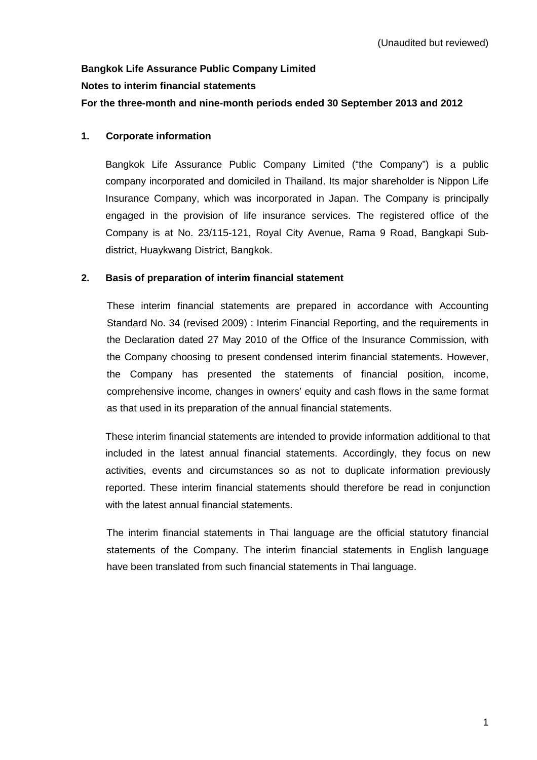# **Bangkok Life Assurance Public Company Limited Notes to interim financial statements For the three-month and nine-month periods ended 30 September 2013 and 2012**

## **1. Corporate information**

Bangkok Life Assurance Public Company Limited ("the Company") is a public company incorporated and domiciled in Thailand. Its major shareholder is Nippon Life Insurance Company, which was incorporated in Japan. The Company is principally engaged in the provision of life insurance services. The registered office of the Company is at No. 23/115-121, Royal City Avenue, Rama 9 Road, Bangkapi Subdistrict, Huaykwang District, Bangkok.

## **2. Basis of preparation of interim financial statement**

These interim financial statements are prepared in accordance with Accounting Standard No. 34 (revised 2009) : Interim Financial Reporting, and the requirements in the Declaration dated 27 May 2010 of the Office of the Insurance Commission, with the Company choosing to present condensed interim financial statements. However, the Company has presented the statements of financial position, income, comprehensive income, changes in owners' equity and cash flows in the same format as that used in its preparation of the annual financial statements.

 These interim financial statements are intended to provide information additional to that included in the latest annual financial statements. Accordingly, they focus on new activities, events and circumstances so as not to duplicate information previously reported. These interim financial statements should therefore be read in conjunction with the latest annual financial statements.

 The interim financial statements in Thai language are the official statutory financial statements of the Company. The interim financial statements in English language have been translated from such financial statements in Thai language.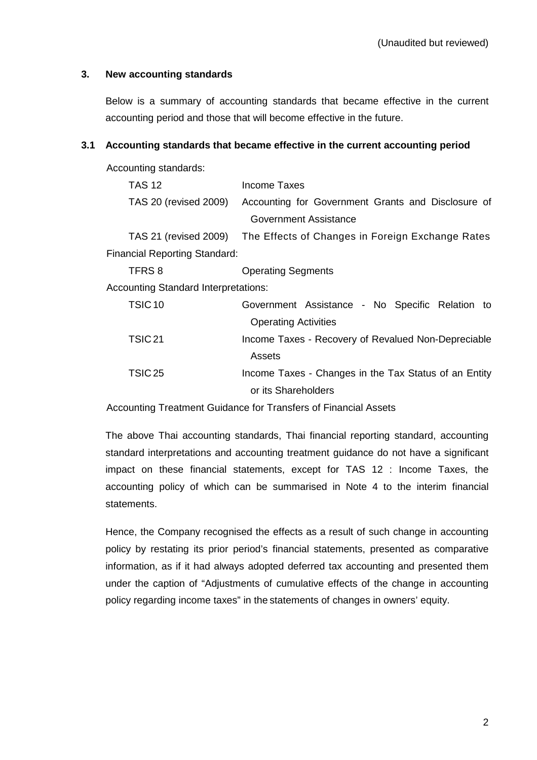## **3. New accounting standards**

 Below is a summary of accounting standards that became effective in the current accounting period and those that will become effective in the future.

## **3.1 Accounting standards that became effective in the current accounting period**

Accounting standards:

| <b>TAS 12</b>                               | Income Taxes                                                           |
|---------------------------------------------|------------------------------------------------------------------------|
| TAS 20 (revised 2009)                       | Accounting for Government Grants and Disclosure of                     |
|                                             | Government Assistance                                                  |
|                                             | TAS 21 (revised 2009) The Effects of Changes in Foreign Exchange Rates |
| Financial Reporting Standard:               |                                                                        |
| TFRS 8                                      | <b>Operating Segments</b>                                              |
| <b>Accounting Standard Interpretations:</b> |                                                                        |
| TSIC <sub>10</sub>                          | Government Assistance - No Specific Relation to                        |
|                                             | <b>Operating Activities</b>                                            |
| TSIC <sub>21</sub>                          | Income Taxes - Recovery of Revalued Non-Depreciable                    |
|                                             | Assets                                                                 |
| TSIC <sub>25</sub>                          | Income Taxes - Changes in the Tax Status of an Entity                  |
|                                             | or its Shareholders                                                    |

Accounting Treatment Guidance for Transfers of Financial Assets

 The above Thai accounting standards, Thai financial reporting standard, accounting standard interpretations and accounting treatment guidance do not have a significant impact on these financial statements, except for TAS 12 : Income Taxes, the accounting policy of which can be summarised in Note 4 to the interim financial statements.

 Hence, the Company recognised the effects as a result of such change in accounting policy by restating its prior period's financial statements, presented as comparative information, as if it had always adopted deferred tax accounting and presented them under the caption of "Adjustments of cumulative effects of the change in accounting policy regarding income taxes" in the statements of changes in owners' equity.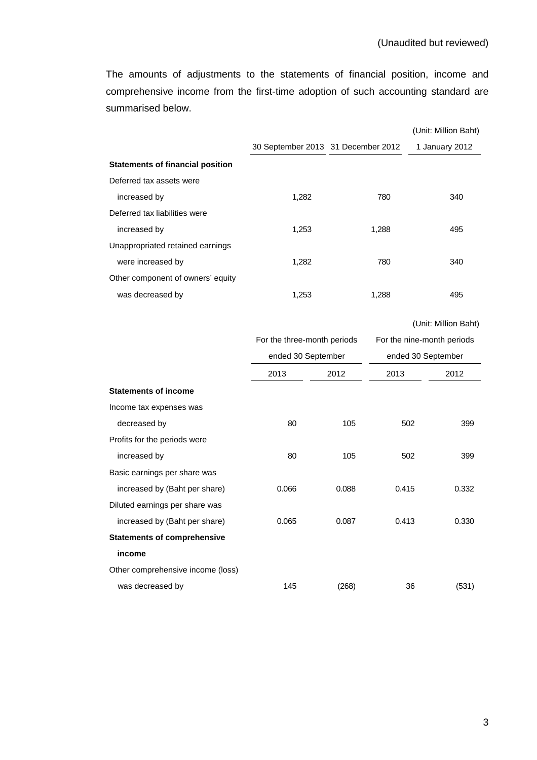The amounts of adjustments to the statements of financial position, income and comprehensive income from the first-time adoption of such accounting standard are summarised below.

|                                         |                                    |       |                            | (Unit: Million Baht) |
|-----------------------------------------|------------------------------------|-------|----------------------------|----------------------|
|                                         | 30 September 2013 31 December 2012 |       |                            | 1 January 2012       |
| <b>Statements of financial position</b> |                                    |       |                            |                      |
| Deferred tax assets were                |                                    |       |                            |                      |
| increased by                            | 1,282                              |       | 780                        | 340                  |
| Deferred tax liabilities were           |                                    |       |                            |                      |
| increased by                            | 1,253                              |       | 1,288                      | 495                  |
| Unappropriated retained earnings        |                                    |       |                            |                      |
| were increased by                       | 1,282                              |       | 780                        | 340                  |
| Other component of owners' equity       |                                    |       |                            |                      |
| was decreased by                        | 1,253                              |       | 1,288                      | 495                  |
|                                         |                                    |       |                            |                      |
|                                         |                                    |       |                            | (Unit: Million Baht) |
|                                         | For the three-month periods        |       | For the nine-month periods |                      |
|                                         | ended 30 September                 |       | ended 30 September         |                      |
|                                         | 2013                               | 2012  | 2013                       | 2012                 |
| <b>Statements of income</b>             |                                    |       |                            |                      |
| Income tax expenses was                 |                                    |       |                            |                      |
| decreased by                            | 80                                 | 105   |                            | 502<br>399           |
| Profits for the periods were            |                                    |       |                            |                      |
| increased by                            | 80                                 | 105   |                            | 502<br>399           |
| Basic earnings per share was            |                                    |       |                            |                      |
| increased by (Baht per share)           | 0.066                              | 0.088 | 0.415                      | 0.332                |
| Diluted earnings per share was          |                                    |       |                            |                      |
| increased by (Baht per share)           | 0.065                              | 0.087 | 0.413                      | 0.330                |
| <b>Statements of comprehensive</b>      |                                    |       |                            |                      |
| income                                  |                                    |       |                            |                      |
| Other comprehensive income (loss)       |                                    |       |                            |                      |
| was decreased by                        | 145                                | (268) |                            | 36<br>(531)          |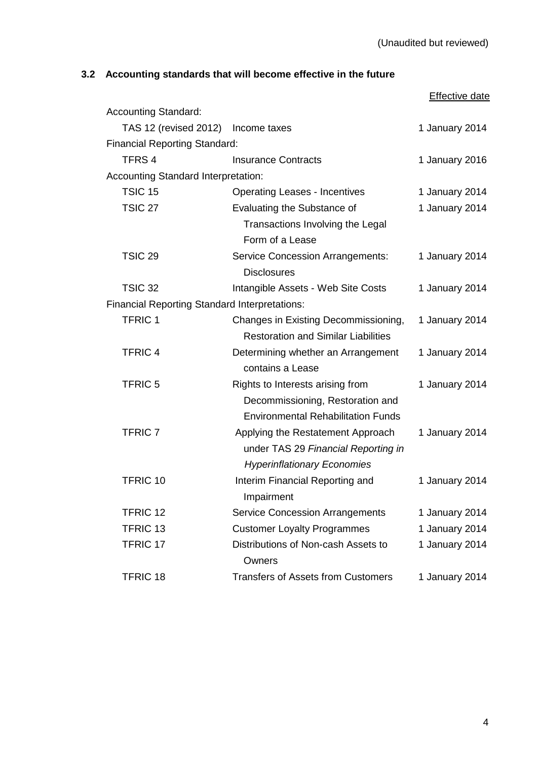# **3.2 Accounting standards that will become effective in the future**

|                                                      |                                                                                                                   | <b>Effective date</b> |
|------------------------------------------------------|-------------------------------------------------------------------------------------------------------------------|-----------------------|
| <b>Accounting Standard:</b>                          |                                                                                                                   |                       |
| TAS 12 (revised 2012) Income taxes                   |                                                                                                                   | 1 January 2014        |
| <b>Financial Reporting Standard:</b>                 |                                                                                                                   |                       |
| TFRS <sub>4</sub>                                    | <b>Insurance Contracts</b>                                                                                        | 1 January 2016        |
| <b>Accounting Standard Interpretation:</b>           |                                                                                                                   |                       |
| TSIC <sub>15</sub>                                   | <b>Operating Leases - Incentives</b>                                                                              | 1 January 2014        |
| <b>TSIC 27</b>                                       | Evaluating the Substance of                                                                                       | 1 January 2014        |
|                                                      | Transactions Involving the Legal<br>Form of a Lease                                                               |                       |
| <b>TSIC 29</b>                                       | <b>Service Concession Arrangements:</b><br><b>Disclosures</b>                                                     | 1 January 2014        |
| <b>TSIC 32</b>                                       | Intangible Assets - Web Site Costs                                                                                | 1 January 2014        |
| <b>Financial Reporting Standard Interpretations:</b> |                                                                                                                   |                       |
| <b>TFRIC 1</b>                                       | Changes in Existing Decommissioning,<br><b>Restoration and Similar Liabilities</b>                                | 1 January 2014        |
| <b>TFRIC 4</b>                                       | Determining whether an Arrangement<br>contains a Lease                                                            | 1 January 2014        |
| <b>TFRIC 5</b>                                       | Rights to Interests arising from<br>Decommissioning, Restoration and<br><b>Environmental Rehabilitation Funds</b> | 1 January 2014        |
| <b>TFRIC 7</b>                                       | Applying the Restatement Approach<br>under TAS 29 Financial Reporting in<br><b>Hyperinflationary Economies</b>    | 1 January 2014        |
| <b>TFRIC 10</b>                                      | Interim Financial Reporting and<br>Impairment                                                                     | 1 January 2014        |
| <b>TFRIC 12</b>                                      | <b>Service Concession Arrangements</b>                                                                            | 1 January 2014        |
| <b>TFRIC 13</b>                                      | <b>Customer Loyalty Programmes</b>                                                                                | 1 January 2014        |
| <b>TFRIC 17</b>                                      | Distributions of Non-cash Assets to<br>Owners                                                                     | 1 January 2014        |
| <b>TFRIC 18</b>                                      | <b>Transfers of Assets from Customers</b>                                                                         | 1 January 2014        |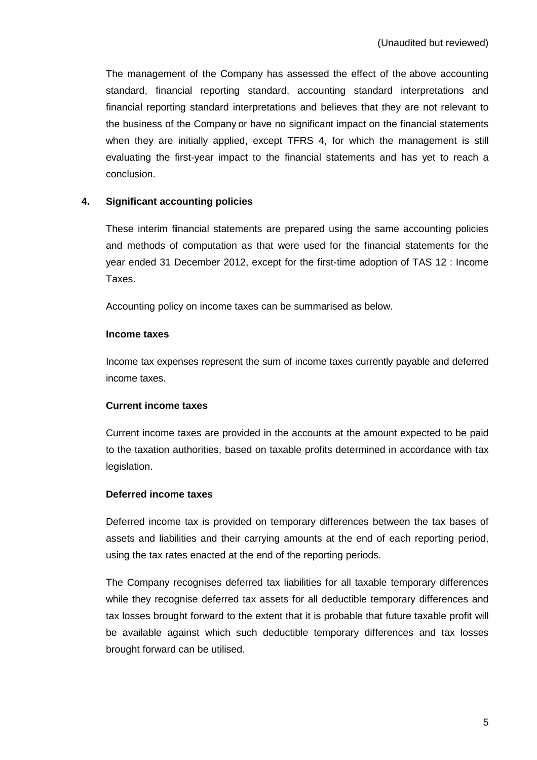The management of the Company has assessed the effect of the above accounting standard, financial reporting standard, accounting standard interpretations and financial reporting standard interpretations and believes that they are not relevant to the business of the Company or have no significant impact on the financial statements when they are initially applied, except TFRS 4, for which the management is still evaluating the first-year impact to the financial statements and has yet to reach a conclusion.

## **4. Significant accounting policies**

These interim f**i**nancial statements are prepared using the same accounting policies and methods of computation as that were used for the financial statements for the year ended 31 December 2012, except for the first-time adoption of TAS 12 : Income Taxes.

Accounting policy on income taxes can be summarised as below.

### **Income taxes**

Income tax expenses represent the sum of income taxes currently payable and deferred income taxes.

## **Current income taxes**

Current income taxes are provided in the accounts at the amount expected to be paid to the taxation authorities, based on taxable profits determined in accordance with tax legislation.

## **Deferred income taxes**

Deferred income tax is provided on temporary differences between the tax bases of assets and liabilities and their carrying amounts at the end of each reporting period, using the tax rates enacted at the end of the reporting periods.

The Company recognises deferred tax liabilities for all taxable temporary differences while they recognise deferred tax assets for all deductible temporary differences and tax losses brought forward to the extent that it is probable that future taxable profit will be available against which such deductible temporary differences and tax losses brought forward can be utilised.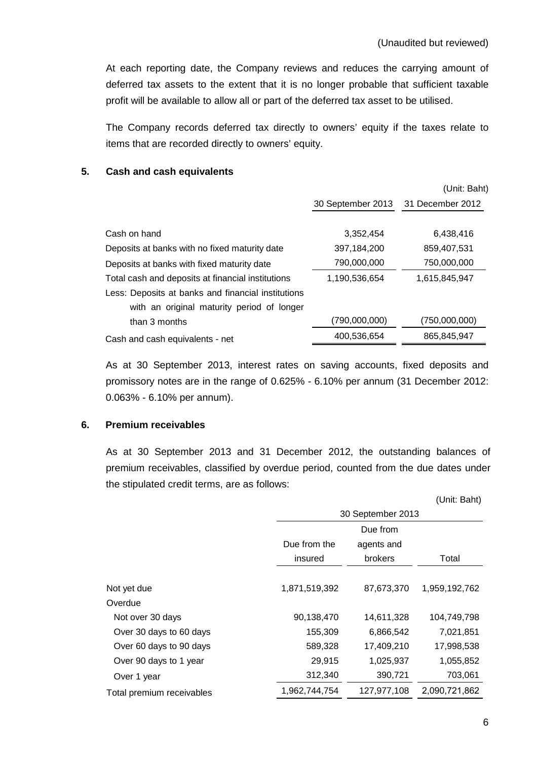At each reporting date, the Company reviews and reduces the carrying amount of deferred tax assets to the extent that it is no longer probable that sufficient taxable profit will be available to allow all or part of the deferred tax asset to be utilised.

The Company records deferred tax directly to owners' equity if the taxes relate to items that are recorded directly to owners' equity.

## **5. Cash and cash equivalents**

|                                                    |                   | (Unit: Baht)     |
|----------------------------------------------------|-------------------|------------------|
|                                                    | 30 September 2013 | 31 December 2012 |
|                                                    |                   |                  |
| Cash on hand                                       | 3.352.454         | 6,438,416        |
| Deposits at banks with no fixed maturity date      | 397,184,200       | 859,407,531      |
| Deposits at banks with fixed maturity date         | 790,000,000       | 750,000,000      |
| Total cash and deposits at financial institutions  | 1,190,536,654     | 1,615,845,947    |
| Less: Deposits at banks and financial institutions |                   |                  |
| with an original maturity period of longer         |                   |                  |
| than 3 months                                      | (790,000,000)     | (750,000,000)    |
| Cash and cash equivalents - net                    | 400,536,654       | 865,845,947      |

 As at 30 September 2013, interest rates on saving accounts, fixed deposits and promissory notes are in the range of 0.625% - 6.10% per annum (31 December 2012: 0.063% - 6.10% per annum).

## **6. Premium receivables**

 As at 30 September 2013 and 31 December 2012, the outstanding balances of premium receivables, classified by overdue period, counted from the due dates under the stipulated credit terms, are as follows:

|                           |                   |                | (Unit: Baht)  |  |  |
|---------------------------|-------------------|----------------|---------------|--|--|
|                           | 30 September 2013 |                |               |  |  |
|                           |                   | Due from       |               |  |  |
|                           | Due from the      | agents and     |               |  |  |
|                           | insured           | <b>brokers</b> | Total         |  |  |
|                           |                   |                |               |  |  |
| Not yet due               | 1,871,519,392     | 87,673,370     | 1,959,192,762 |  |  |
| Overdue                   |                   |                |               |  |  |
| Not over 30 days          | 90,138,470        | 14,611,328     | 104,749,798   |  |  |
| Over 30 days to 60 days   | 155,309           | 6,866,542      | 7,021,851     |  |  |
| Over 60 days to 90 days   | 589,328           | 17,409,210     | 17,998,538    |  |  |
| Over 90 days to 1 year    | 29,915            | 1,025,937      | 1,055,852     |  |  |
| Over 1 year               | 312,340           | 390,721        | 703,061       |  |  |
| Total premium receivables | 1,962,744,754     | 127,977,108    | 2,090,721,862 |  |  |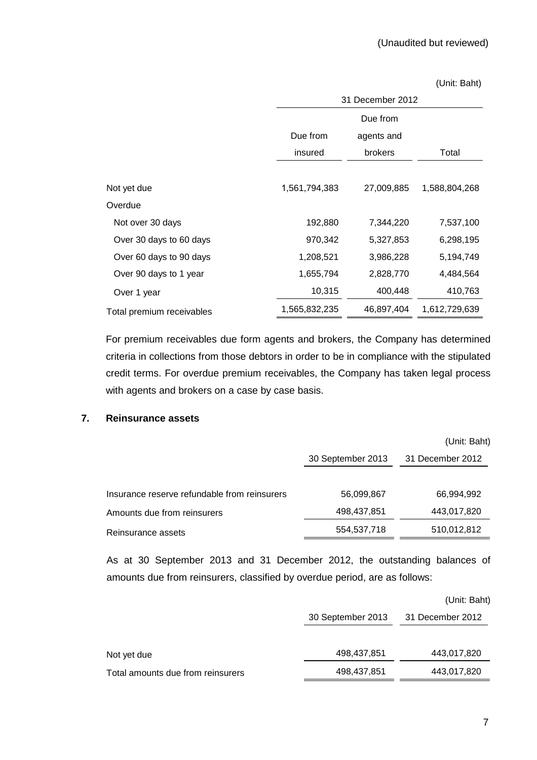### (Unit: Baht)

|                           | 31 December 2012          |            |               |  |  |
|---------------------------|---------------------------|------------|---------------|--|--|
|                           | Due from                  |            |               |  |  |
|                           | Due from                  | agents and |               |  |  |
|                           | insured<br><b>brokers</b> |            | Total         |  |  |
|                           |                           |            |               |  |  |
| Not yet due               | 1,561,794,383             | 27,009,885 | 1,588,804,268 |  |  |
| Overdue                   |                           |            |               |  |  |
| Not over 30 days          | 192,880                   | 7,344,220  | 7,537,100     |  |  |
| Over 30 days to 60 days   | 970,342                   | 5,327,853  | 6,298,195     |  |  |
| Over 60 days to 90 days   | 1,208,521                 | 3,986,228  | 5,194,749     |  |  |
| Over 90 days to 1 year    | 1,655,794                 | 2,828,770  | 4,484,564     |  |  |
| Over 1 year               | 10,315                    | 400,448    | 410,763       |  |  |
| Total premium receivables | 1,565,832,235             | 46,897,404 | 1,612,729,639 |  |  |

 For premium receivables due form agents and brokers, the Company has determined criteria in collections from those debtors in order to be in compliance with the stipulated credit terms. For overdue premium receivables, the Company has taken legal process with agents and brokers on a case by case basis.

## **7. Reinsurance assets**

|                                              |                   | (Unit: Baht)     |
|----------------------------------------------|-------------------|------------------|
|                                              | 30 September 2013 | 31 December 2012 |
| Insurance reserve refundable from reinsurers | 56,099,867        | 66,994,992       |
| Amounts due from reinsurers                  | 498,437,851       | 443,017,820      |
| Reinsurance assets                           | 554,537,718       | 510,012,812      |

As at 30 September 2013 and 31 December 2012, the outstanding balances of amounts due from reinsurers, classified by overdue period, are as follows:

|                                   |                   | (Unit: Baht)     |
|-----------------------------------|-------------------|------------------|
|                                   | 30 September 2013 | 31 December 2012 |
| Not yet due                       | 498,437,851       | 443,017,820      |
| Total amounts due from reinsurers | 498,437,851       | 443,017,820      |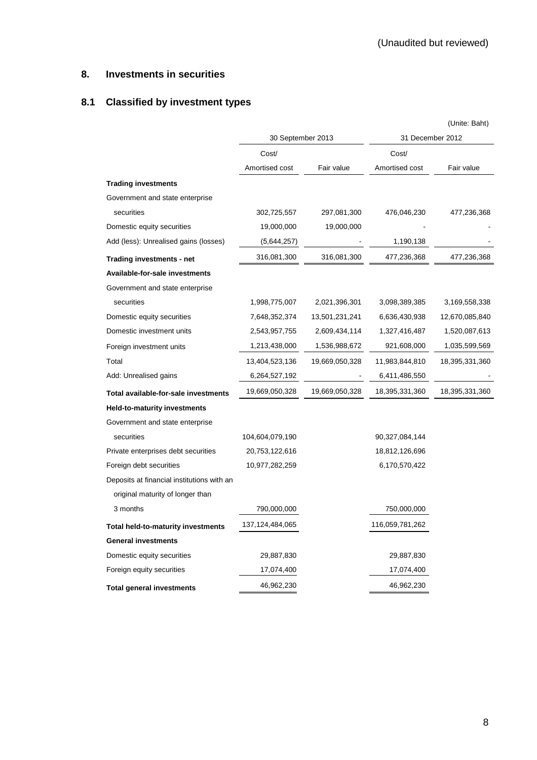# **8. Investments in securities**

# **8.1 Classified by investment types**

|                                            |                   |                |                  | (Unite: Baht)  |
|--------------------------------------------|-------------------|----------------|------------------|----------------|
|                                            | 30 September 2013 |                | 31 December 2012 |                |
|                                            | Cost/             |                | Cost/            |                |
|                                            | Amortised cost    | Fair value     | Amortised cost   | Fair value     |
| <b>Trading investments</b>                 |                   |                |                  |                |
| Government and state enterprise            |                   |                |                  |                |
| securities                                 | 302,725,557       | 297,081,300    | 476,046,230      | 477,236,368    |
| Domestic equity securities                 | 19,000,000        | 19,000,000     |                  |                |
| Add (less): Unrealised gains (losses)      | (5,644,257)       |                | 1,190,138        |                |
| Trading investments - net                  | 316,081,300       | 316,081,300    | 477,236,368      | 477,236,368    |
| Available-for-sale investments             |                   |                |                  |                |
| Government and state enterprise            |                   |                |                  |                |
| securities                                 | 1,998,775,007     | 2,021,396,301  | 3,098,389,385    | 3,169,558,338  |
| Domestic equity securities                 | 7,648,352,374     | 13,501,231,241 | 6,636,430,938    | 12,670,085,840 |
| Domestic investment units                  | 2,543,957,755     | 2,609,434,114  | 1,327,416,487    | 1,520,087,613  |
| Foreign investment units                   | 1,213,438,000     | 1,536,988,672  | 921,608,000      | 1,035,599,569  |
| Total                                      | 13,404,523,136    | 19,669,050,328 | 11,983,844,810   | 18,395,331,360 |
| Add: Unrealised gains                      | 6,264,527,192     |                | 6,411,486,550    |                |
| Total available-for-sale investments       | 19,669,050,328    | 19,669,050,328 | 18,395,331,360   | 18,395,331,360 |
| Held-to-maturity investments               |                   |                |                  |                |
| Government and state enterprise            |                   |                |                  |                |
| securities                                 | 104,604,079,190   |                | 90,327,084,144   |                |
| Private enterprises debt securities        | 20,753,122,616    |                | 18,812,126,696   |                |
| Foreign debt securities                    | 10,977,282,259    |                | 6,170,570,422    |                |
| Deposits at financial institutions with an |                   |                |                  |                |
| original maturity of longer than           |                   |                |                  |                |
| 3 months                                   | 790,000,000       |                | 750,000,000      |                |
| Total held-to-maturity investments         | 137,124,484,065   |                | 116,059,781,262  |                |
| <b>General investments</b>                 |                   |                |                  |                |
| Domestic equity securities                 | 29,887,830        |                | 29,887,830       |                |
| Foreign equity securities                  | 17,074,400        |                | 17,074,400       |                |
| <b>Total general investments</b>           | 46,962,230        |                | 46,962,230       |                |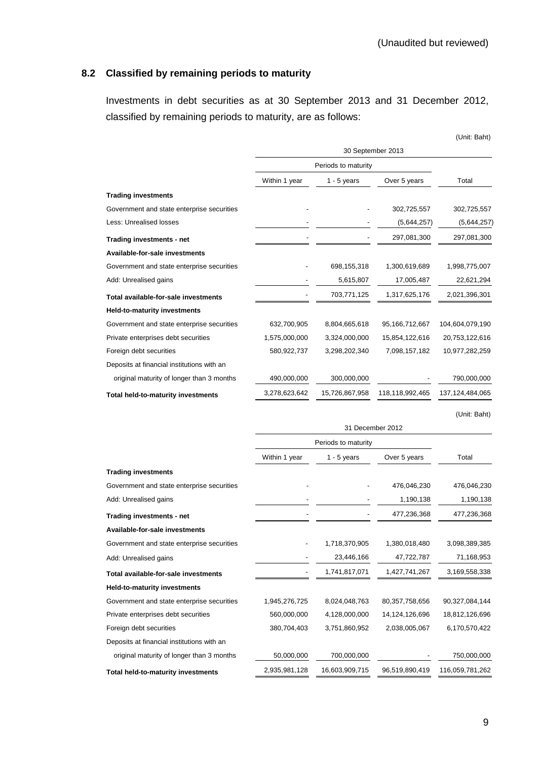# **8.2 Classified by remaining periods to maturity**

Investments in debt securities as at 30 September 2013 and 31 December 2012, classified by remaining periods to maturity, are as follows:

|                                            |                                                |                     |                 | (Unit: Baht)    |  |
|--------------------------------------------|------------------------------------------------|---------------------|-----------------|-----------------|--|
|                                            |                                                | 30 September 2013   |                 |                 |  |
|                                            |                                                | Periods to maturity |                 |                 |  |
|                                            | Over 5 years<br>Within 1 year<br>$1 - 5$ years |                     |                 | Total           |  |
| <b>Trading investments</b>                 |                                                |                     |                 |                 |  |
| Government and state enterprise securities |                                                |                     | 302,725,557     | 302,725,557     |  |
| <b>Less: Unrealised losses</b>             |                                                |                     | (5,644,257)     | (5,644,257)     |  |
| Trading investments - net                  |                                                |                     | 297,081,300     | 297,081,300     |  |
| Available-for-sale investments             |                                                |                     |                 |                 |  |
| Government and state enterprise securities |                                                | 698,155,318         | 1,300,619,689   | 1,998,775,007   |  |
| Add: Unrealised gains                      |                                                | 5,615,807           | 17,005,487      | 22,621,294      |  |
| Total available-for-sale investments       |                                                | 703,771,125         | 1,317,625,176   | 2,021,396,301   |  |
| Held-to-maturity investments               |                                                |                     |                 |                 |  |
| Government and state enterprise securities | 632,700,905                                    | 8,804,665,618       | 95,166,712,667  | 104,604,079,190 |  |
| Private enterprises debt securities        | 1,575,000,000                                  | 3,324,000,000       | 15,854,122,616  | 20,753,122,616  |  |
| Foreign debt securities                    | 580,922,737                                    | 3,298,202,340       | 7,098,157,182   | 10,977,282,259  |  |
| Deposits at financial institutions with an |                                                |                     |                 |                 |  |
| original maturity of longer than 3 months  | 490,000,000                                    | 300,000,000         |                 | 790,000,000     |  |
| Total held-to-maturity investments         | 3,278,623,642                                  | 15,726,867,958      | 118,118,992,465 | 137,124,484,065 |  |
|                                            |                                                |                     |                 | (Unit: Baht)    |  |
|                                            |                                                | 31 December 2012    |                 |                 |  |

|                                            | Within 1 year | $1 - 5$ years  | Over 5 years   | Total           |
|--------------------------------------------|---------------|----------------|----------------|-----------------|
| <b>Trading investments</b>                 |               |                |                |                 |
| Government and state enterprise securities |               |                | 476,046,230    | 476,046,230     |
| Add: Unrealised gains                      |               |                | 1,190,138      | 1,190,138       |
| Trading investments - net                  |               |                | 477,236,368    | 477,236,368     |
| Available-for-sale investments             |               |                |                |                 |
| Government and state enterprise securities |               | 1,718,370,905  | 1,380,018,480  | 3,098,389,385   |
| Add: Unrealised gains                      |               | 23,446,166     | 47,722,787     | 71,168,953      |
| Total available-for-sale investments       |               | 1,741,817,071  | 1,427,741,267  | 3,169,558,338   |
| <b>Held-to-maturity investments</b>        |               |                |                |                 |
| Government and state enterprise securities | 1,945,276,725 | 8,024,048,763  | 80,357,758,656 | 90,327,084,144  |
| Private enterprises debt securities        | 560,000,000   | 4,128,000,000  | 14,124,126,696 | 18,812,126,696  |
| Foreign debt securities                    | 380,704,403   | 3,751,860,952  | 2,038,005,067  | 6,170,570,422   |
| Deposits at financial institutions with an |               |                |                |                 |
| original maturity of longer than 3 months  | 50,000,000    | 700,000,000    |                | 750,000,000     |
| <b>Total held-to-maturity investments</b>  | 2,935,981,128 | 16,603,909,715 | 96.519.890.419 | 116,059,781,262 |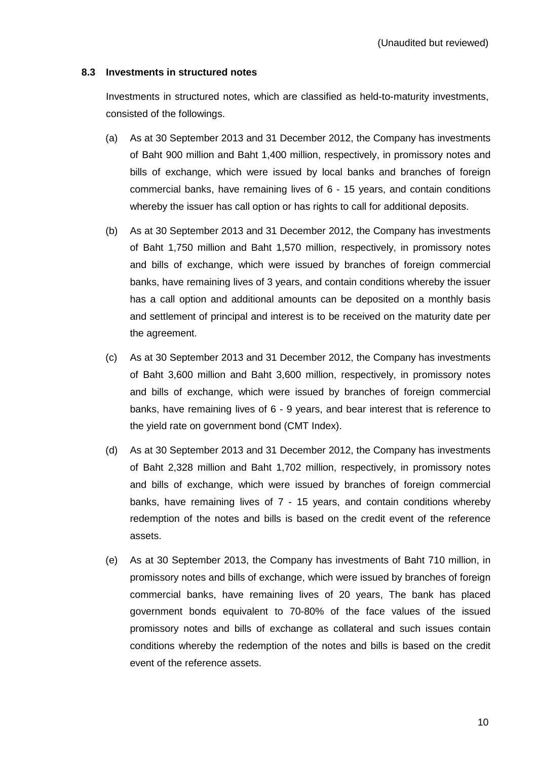### **8.3 Investments in structured notes**

 Investments in structured notes, which are classified as held-to-maturity investments, consisted of the followings.

- (a) As at 30 September 2013 and 31 December 2012, the Company has investments of Baht 900 million and Baht 1,400 million, respectively, in promissory notes and bills of exchange, which were issued by local banks and branches of foreign commercial banks, have remaining lives of 6 - 15 years, and contain conditions whereby the issuer has call option or has rights to call for additional deposits.
- (b) As at 30 September 2013 and 31 December 2012, the Company has investments of Baht 1,750 million and Baht 1,570 million, respectively, in promissory notes and bills of exchange, which were issued by branches of foreign commercial banks, have remaining lives of 3 years, and contain conditions whereby the issuer has a call option and additional amounts can be deposited on a monthly basis and settlement of principal and interest is to be received on the maturity date per the agreement.
- (c) As at 30 September 2013 and 31 December 2012, the Company has investments of Baht 3,600 million and Baht 3,600 million, respectively, in promissory notes and bills of exchange, which were issued by branches of foreign commercial banks, have remaining lives of 6 - 9 years, and bear interest that is reference to the yield rate on government bond (CMT Index).
- (d) As at 30 September 2013 and 31 December 2012, the Company has investments of Baht 2,328 million and Baht 1,702 million, respectively, in promissory notes and bills of exchange, which were issued by branches of foreign commercial banks, have remaining lives of 7 - 15 years, and contain conditions whereby redemption of the notes and bills is based on the credit event of the reference assets.
- (e) As at 30 September 2013, the Company has investments of Baht 710 million, in promissory notes and bills of exchange, which were issued by branches of foreign commercial banks, have remaining lives of 20 years, The bank has placed government bonds equivalent to 70-80% of the face values of the issued promissory notes and bills of exchange as collateral and such issues contain conditions whereby the redemption of the notes and bills is based on the credit event of the reference assets.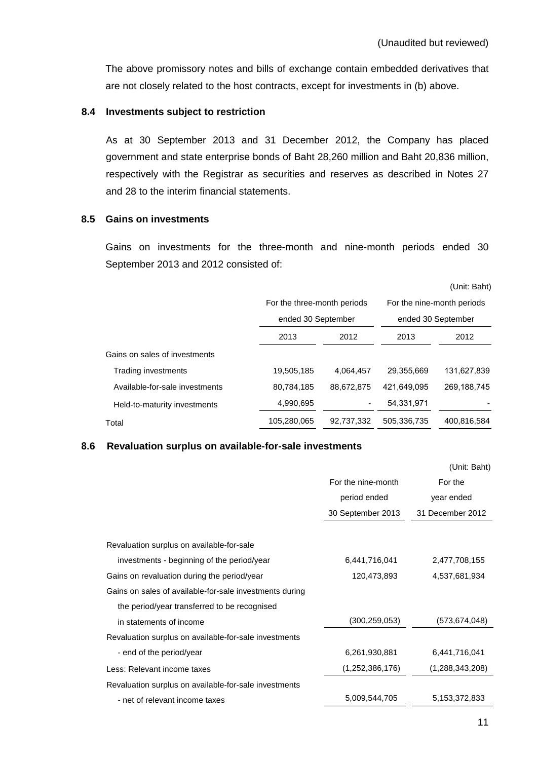The above promissory notes and bills of exchange contain embedded derivatives that are not closely related to the host contracts, except for investments in (b) above.

### **8.4 Investments subject to restriction**

As at 30 September 2013 and 31 December 2012, the Company has placed government and state enterprise bonds of Baht 28,260 million and Baht 20,836 million, respectively with the Registrar as securities and reserves as described in Notes 27 and 28 to the interim financial statements.

## **8.5 Gains on investments**

Gains on investments for the three-month and nine-month periods ended 30 September 2013 and 2012 consisted of:

(Unit: Baht)

|                                | For the three-month periods |            | For the nine-month periods<br>ended 30 September |             |  |
|--------------------------------|-----------------------------|------------|--------------------------------------------------|-------------|--|
|                                | ended 30 September          |            |                                                  |             |  |
|                                | 2013<br>2012                |            | 2013                                             | 2012        |  |
| Gains on sales of investments  |                             |            |                                                  |             |  |
| Trading investments            | 19,505,185                  | 4,064,457  | 29,355,669                                       | 131,627,839 |  |
| Available-for-sale investments | 80,784,185                  | 88,672,875 | 421,649,095                                      | 269,188,745 |  |
| Held-to-maturity investments   | 4,990,695                   |            | 54,331,971                                       |             |  |
| Total                          | 105,280,065                 | 92,737,332 | 505,336,735                                      | 400,816,584 |  |

### **8.6 Revaluation surplus on available-for-sale investments**

|                                                         |                    | (Unit: Baht)     |
|---------------------------------------------------------|--------------------|------------------|
|                                                         | For the nine-month | For the          |
|                                                         | period ended       | year ended       |
|                                                         | 30 September 2013  | 31 December 2012 |
|                                                         |                    |                  |
| Revaluation surplus on available-for-sale               |                    |                  |
| investments - beginning of the period/year              | 6,441,716,041      | 2,477,708,155    |
| Gains on revaluation during the period/year             | 120,473,893        | 4,537,681,934    |
| Gains on sales of available-for-sale investments during |                    |                  |
| the period/year transferred to be recognised            |                    |                  |
| in statements of income                                 | (300, 259, 053)    | (573,674,048)    |
| Revaluation surplus on available-for-sale investments   |                    |                  |
| - end of the period/year                                | 6,261,930,881      | 6,441,716,041    |
| Less: Relevant income taxes                             | (1,252,386,176)    | (1,288,343,208)  |
| Revaluation surplus on available-for-sale investments   |                    |                  |
| - net of relevant income taxes                          | 5,009,544,705      | 5,153,372,833    |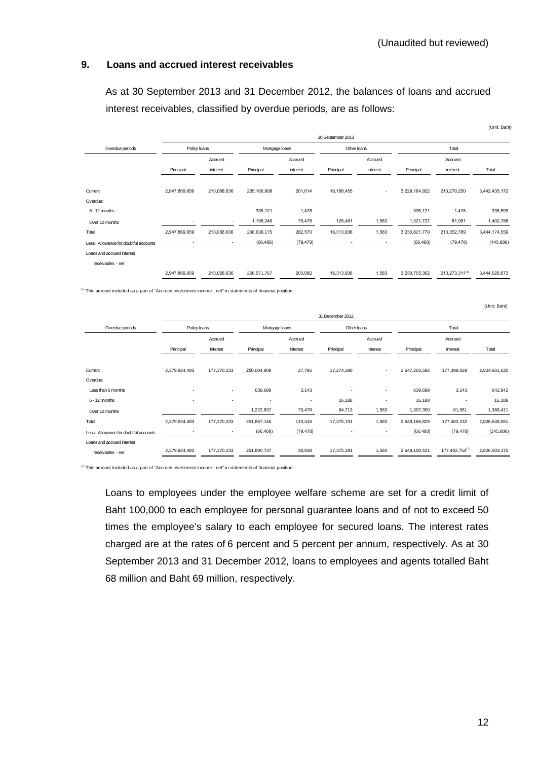## **9. Loans and accrued interest receivables**

 As at 30 September 2013 and 31 December 2012, the balances of loans and accrued interest receivables, classified by overdue periods, are as follows:

|                                       |                          |             |             |                |                          |                          |               |                | (Unit: Baht)  |
|---------------------------------------|--------------------------|-------------|-------------|----------------|--------------------------|--------------------------|---------------|----------------|---------------|
|                                       | 30 September 2013        |             |             |                |                          |                          |               |                |               |
| Overdue periods                       | Policy loans             |             |             | Mortgage loans |                          | Other loans              |               | Total          |               |
|                                       |                          | Accrued     |             | Accrued        |                          | Accrued                  |               | Accrued        |               |
|                                       | Principal                | interest    | Principal   | interest       | Principal                | interest                 | Principal     | interest       | Total         |
|                                       |                          |             |             |                |                          |                          |               |                |               |
| Current                               | 2,947,869,659            | 213,068,636 | 265,106,808 | 201,614        | 16, 188, 455             | $\overline{\phantom{a}}$ | 3,229,164,922 | 213,270,250    | 3,442,435,172 |
| Overdue:                              |                          |             |             |                |                          |                          |               |                |               |
| 6 - 12 months                         | $\overline{\phantom{a}}$ | $\sim$      | 335,121     | 1,478          | $\blacksquare$           | ۰                        | 335,121       | 1,478          | 336,599       |
| Over 12 months                        |                          | $\sim$      | 1,196,246   | 79,478         | 125,481                  | 1,583                    | 1,321,727     | 81,061         | 1,402,788     |
| Total                                 | 2,947,869,659            | 213,068,636 | 266,638,175 | 282,570        | 16,313,936               | 1,583                    | 3,230,821,770 | 213,352,789    | 3,444,174,559 |
| Less: Allowance for doubtful accounts |                          |             | (66, 408)   | (79, 478)      | $\overline{\phantom{a}}$ |                          | (66, 408)     | (79, 478)      | (145, 886)    |
| Loans and accrued interest            |                          |             |             |                |                          |                          |               |                |               |
| receivables - net                     |                          |             |             |                |                          |                          |               |                |               |
|                                       | 2,947,869,659            | 213,068,636 | 266,571,767 | 203,092        | 16,313,936               | 1,583                    | 3,230,755,362 | 213,273,311(1) | 3,444,028,673 |
|                                       |                          |             |             |                |                          |                          |               |                |               |

(1) This amount included as a part of "Accrued investment income - net" in statements of financial position.

|                                       | 31 December 2012         |                          |                          |                          |                          |                          |               |                |               |
|---------------------------------------|--------------------------|--------------------------|--------------------------|--------------------------|--------------------------|--------------------------|---------------|----------------|---------------|
| Overdue periods                       | Policy loans             |                          |                          | Mortgage loans           |                          | Other loans              |               | Total          |               |
|                                       |                          | Accrued                  |                          | Accrued                  |                          | Accrued                  |               | Accrued        |               |
|                                       | Principal                | interest                 | Principal                | interest                 | Principal                | interest                 | Principal     | interest       | Total         |
|                                       |                          |                          |                          |                          |                          |                          |               |                |               |
| Current                               | 2,379,924,493            | 177,370,233              | 250,004,809              | 27,795                   | 17,274,290               | $\sim$                   | 2,647,203,592 | 177,398,028    | 2,824,601,620 |
| Overdue:                              |                          |                          |                          |                          |                          |                          |               |                |               |
| Less than 6 months                    |                          | ٠                        | 639,699                  | 3,143                    |                          | $\overline{\phantom{a}}$ | 639,699       | 3,143          | 642,842       |
| 6 - 12 months                         | $\overline{\phantom{a}}$ | $\overline{\phantom{a}}$ | $\overline{\phantom{a}}$ | $\overline{\phantom{a}}$ | 16,188                   |                          | 16,188        |                | 16,188        |
| Over 12 months                        | $\overline{a}$           | $\overline{\phantom{a}}$ | 1,222,637                | 79,478                   | 84,713                   | 1,583                    | 1,307,350     | 81,061         | 1,388,411     |
| Total                                 | 2,379,924,493            | 177,370,233              | 251,867,145              | 110,416                  | 17,375,191               | 1,583                    | 2,649,166,829 | 177,482,232    | 2,826,649,061 |
| Less: Allowance for doubtful accounts |                          | $\overline{\phantom{a}}$ | (66, 408)                | (79, 478)                | $\overline{\phantom{a}}$ |                          | (66, 408)     | (79, 478)      | (145, 886)    |
| Loans and accrued interest            |                          |                          |                          |                          |                          |                          |               |                |               |
| receivables - net                     | 2,379,924,493            | 177,370,233              | 251,800,737              | 30,938                   | 17,375,191               | 1,583                    | 2,649,100,421 | 177,402,754(1) | 2,826,503,175 |

(1) This amount included as a part of "Accrued investment income - net" in statements of financial position.

Loans to employees under the employee welfare scheme are set for a credit limit of Baht 100,000 to each employee for personal guarantee loans and of not to exceed 50 times the employee's salary to each employee for secured loans. The interest rates charged are at the rates of 6 percent and 5 percent per annum, respectively. As at 30 September 2013 and 31 December 2012, loans to employees and agents totalled Baht 68 million and Baht 69 million, respectively.

(Unit: Baht)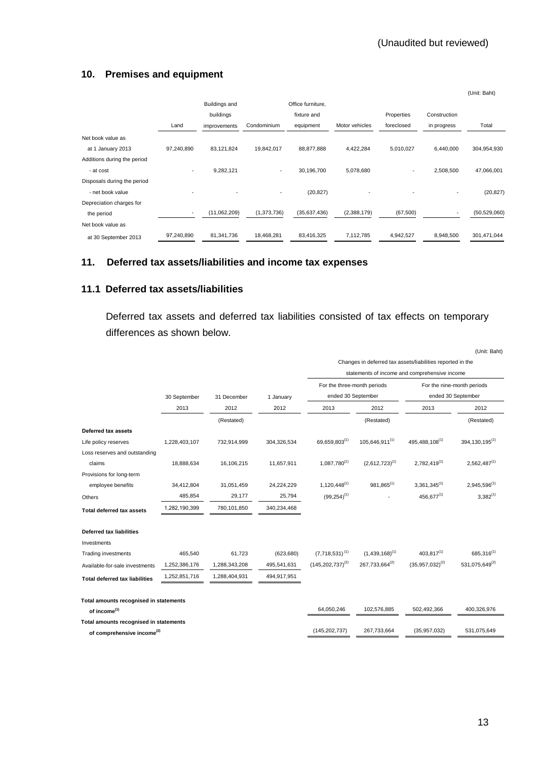# **10. Premises and equipment**

|                             |                          |               |             |                   |                |                          |              | (Unit: Baht)   |
|-----------------------------|--------------------------|---------------|-------------|-------------------|----------------|--------------------------|--------------|----------------|
|                             |                          | Buildings and |             | Office furniture, |                |                          |              |                |
|                             |                          | buildings     |             | fixture and       |                | Properties               | Construction |                |
|                             | Land                     | improvements  | Condominium | equipment         | Motor vehicles | foreclosed               | in progress  | Total          |
| Net book value as           |                          |               |             |                   |                |                          |              |                |
| at 1 January 2013           | 97,240,890               | 83,121,824    | 19,842,017  | 88,877,888        | 4,422,284      | 5,010,027                | 6,440,000    | 304,954,930    |
| Additions during the period |                          |               |             |                   |                |                          |              |                |
| - at cost                   | $\overline{\phantom{a}}$ | 9,282,121     | ٠           | 30,196,700        | 5,078,680      | $\overline{\phantom{a}}$ | 2,508,500    | 47,066,001     |
| Disposals during the period |                          |               |             |                   |                |                          |              |                |
| - net book value            |                          |               |             | (20, 827)         |                |                          |              | (20, 827)      |
| Depreciation charges for    |                          |               |             |                   |                |                          |              |                |
| the period                  |                          | (11,062,209)  | (1,373,736) | (35,637,436)      | (2,388,179)    | (67, 500)                |              | (50, 529, 060) |
| Net book value as           |                          |               |             |                   |                |                          |              |                |
| at 30 September 2013        | 97,240,890               | 81,341,736    | 18,468,281  | 83,416,325        | 7,112,785      | 4,942,527                | 8,948,500    | 301,471,044    |

## **11. Deferred tax assets/liabilities and income tax expenses**

## **11.1 Deferred tax assets/liabilities**

Deferred tax assets and deferred tax liabilities consisted of tax effects on temporary differences as shown below.

|                                        |               |               |             |                             |                                                            |                                               | (Unit: Baht)                 |  |
|----------------------------------------|---------------|---------------|-------------|-----------------------------|------------------------------------------------------------|-----------------------------------------------|------------------------------|--|
|                                        |               |               |             |                             | Changes in deferred tax assets/liabilities reported in the |                                               |                              |  |
|                                        |               |               |             |                             |                                                            | statements of income and comprehensive income |                              |  |
|                                        |               |               |             | For the three-month periods |                                                            | For the nine-month periods                    |                              |  |
|                                        | 30 September  | 31 December   | 1 January   | ended 30 September          |                                                            |                                               | ended 30 September           |  |
|                                        | 2013          | 2012          | 2012        | 2013                        | 2012                                                       | 2013                                          | 2012                         |  |
|                                        |               | (Restated)    |             |                             | (Restated)                                                 |                                               | (Restated)                   |  |
| Deferred tax assets                    |               |               |             |                             |                                                            |                                               |                              |  |
| Life policy reserves                   | 1,228,403,107 | 732,914,999   | 304,326,534 | 69,659,803(1)               | 105,646,911(1)                                             | 495,488,108(1)                                | 394, 130, 195 <sup>(1)</sup> |  |
| Loss reserves and outstanding          |               |               |             |                             |                                                            |                                               |                              |  |
| claims                                 | 18,888,634    | 16,106,215    | 11,657,911  | $1,087,780^{(1)}$           | $(2,612,723)^{(1)}$                                        | 2,782,419(1)                                  | $2,562,487^{(1)}$            |  |
| Provisions for long-term               |               |               |             |                             |                                                            |                                               |                              |  |
| employee benefits                      | 34,412,804    | 31,051,459    | 24,224,229  | $1.120.448^{(1)}$           | $981.865^{(1)}$                                            | $3.361.345^{(1)}$                             | 2,945,596 <sup>(1)</sup>     |  |
| Others                                 | 485,854       | 29,177        | 25,794      | $(99,254)^{(1)}$            |                                                            | $456.677^{(1)}$                               | $3,382^{(1)}$                |  |
| <b>Total deferred tax assets</b>       | 1,282,190,399 | 780,101,850   | 340,234,468 |                             |                                                            |                                               |                              |  |
| <b>Deferred tax liabilities</b>        |               |               |             |                             |                                                            |                                               |                              |  |
| Investments                            |               |               |             |                             |                                                            |                                               |                              |  |
| <b>Trading investments</b>             | 465,540       | 61,723        | (623, 680)  | $(7,718,531)^{(1)}$         | $(1,439,168)^{(1)}$                                        | $403.817^{(1)}$                               | 685,316(1)                   |  |
| Available-for-sale investments         | 1,252,386,176 | 1,288,343,208 | 495,541,631 | $(145, 202, 737)^{(2)}$     | 267,733,664(2)                                             | $(35,957,032)^{(2)}$                          | 531,075,649(2)               |  |
| <b>Total deferred tax liabilities</b>  | 1,252,851,716 | 1,288,404,931 | 494,917,951 |                             |                                                            |                                               |                              |  |
| Total amounts recognised in statements |               |               |             |                             |                                                            |                                               |                              |  |
| of income <sup>(1)</sup>               |               |               |             | 64,050,246                  | 102,576,885                                                | 502,492,366                                   | 400,326,976                  |  |
| Total amounts recognised in statements |               |               |             |                             |                                                            |                                               |                              |  |
| of comprehensive income <sup>(2)</sup> |               |               |             | (145, 202, 737)             | 267,733,664                                                | (35, 957, 032)                                | 531,075,649                  |  |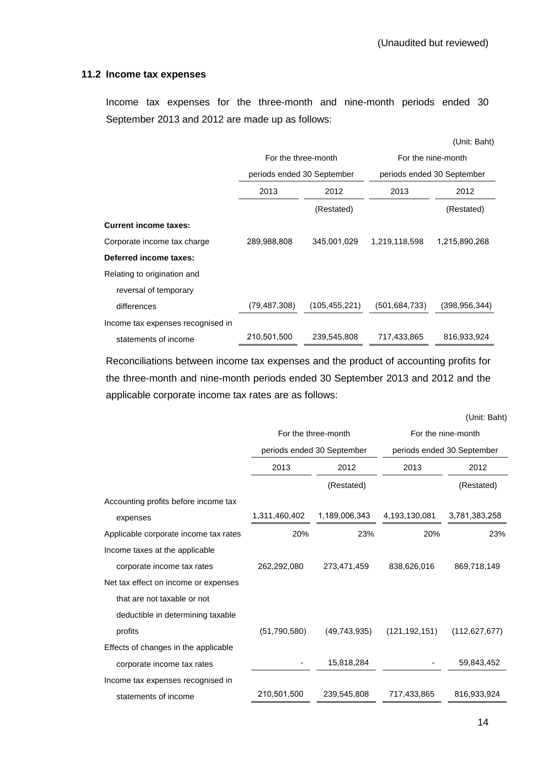## **11.2 Income tax expenses**

Income tax expenses for the three-month and nine-month periods ended 30 September 2013 and 2012 are made up as follows:

|                                   |                            |                 |                 | (Unit: Baht)               |  |  |
|-----------------------------------|----------------------------|-----------------|-----------------|----------------------------|--|--|
|                                   | For the three-month        |                 |                 | For the nine-month         |  |  |
|                                   | periods ended 30 September |                 |                 | periods ended 30 September |  |  |
|                                   | 2013<br>2012               |                 | 2013            | 2012                       |  |  |
|                                   |                            | (Restated)      |                 | (Restated)                 |  |  |
| <b>Current income taxes:</b>      |                            |                 |                 |                            |  |  |
| Corporate income tax charge       | 289,988,808                | 345.001.029     | 1,219,118,598   | 1,215,890,268              |  |  |
| Deferred income taxes:            |                            |                 |                 |                            |  |  |
| Relating to origination and       |                            |                 |                 |                            |  |  |
| reversal of temporary             |                            |                 |                 |                            |  |  |
| differences                       | (79, 487, 308)             | (105, 455, 221) | (501, 684, 733) | (398, 956, 344)            |  |  |
| Income tax expenses recognised in |                            |                 |                 |                            |  |  |
| statements of income              | 210,501,500                | 239,545,808     | 717,433,865     | 816,933,924                |  |  |

 Reconciliations between income tax expenses and the product of accounting profits for the three-month and nine-month periods ended 30 September 2013 and 2012 and the applicable corporate income tax rates are as follows:

(Unit: Baht)

|                                       |                | For the three-month        | For the nine-month |                            |  |  |
|---------------------------------------|----------------|----------------------------|--------------------|----------------------------|--|--|
|                                       |                | periods ended 30 September |                    | periods ended 30 September |  |  |
|                                       | 2013<br>2012   |                            | 2013               | 2012                       |  |  |
|                                       |                | (Restated)                 |                    | (Restated)                 |  |  |
| Accounting profits before income tax  |                |                            |                    |                            |  |  |
| expenses                              | 1,311,460,402  | 1,189,006,343              | 4,193,130,081      | 3,781,383,258              |  |  |
| Applicable corporate income tax rates | 20%            | 23%                        | 20%                | 23%                        |  |  |
| Income taxes at the applicable        |                |                            |                    |                            |  |  |
| corporate income tax rates            | 262,292,080    | 273,471,459                | 838,626,016        | 869,718,149                |  |  |
| Net tax effect on income or expenses  |                |                            |                    |                            |  |  |
| that are not taxable or not           |                |                            |                    |                            |  |  |
| deductible in determining taxable     |                |                            |                    |                            |  |  |
| profits                               | (51, 790, 580) | (49,743,935)               | (121, 192, 151)    | (112, 627, 677)            |  |  |
| Effects of changes in the applicable  |                |                            |                    |                            |  |  |
| corporate income tax rates            |                | 15,818,284                 |                    | 59,843,452                 |  |  |
| Income tax expenses recognised in     |                |                            |                    |                            |  |  |
| statements of income                  | 210,501,500    | 239,545,808                | 717,433,865        | 816,933,924                |  |  |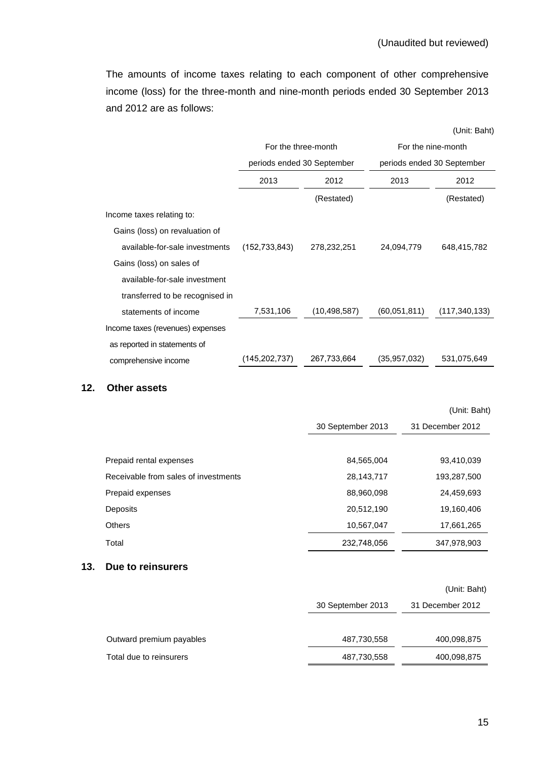The amounts of income taxes relating to each component of other comprehensive income (loss) for the three-month and nine-month periods ended 30 September 2013 and 2012 are as follows:

|                                  |                     |                            |                    | (Unit: Baht)               |  |
|----------------------------------|---------------------|----------------------------|--------------------|----------------------------|--|
|                                  | For the three-month |                            | For the nine-month |                            |  |
|                                  |                     | periods ended 30 September |                    | periods ended 30 September |  |
|                                  | 2013                | 2012                       | 2013               | 2012                       |  |
|                                  |                     | (Restated)                 |                    | (Restated)                 |  |
| Income taxes relating to:        |                     |                            |                    |                            |  |
| Gains (loss) on revaluation of   |                     |                            |                    |                            |  |
| available-for-sale investments   | (152, 733, 843)     | 278,232,251                | 24,094,779         | 648,415,782                |  |
| Gains (loss) on sales of         |                     |                            |                    |                            |  |
| available-for-sale investment    |                     |                            |                    |                            |  |
| transferred to be recognised in  |                     |                            |                    |                            |  |
| statements of income             | 7,531,106           | (10, 498, 587)             | (60,051,811)       | (117, 340, 133)            |  |
| Income taxes (revenues) expenses |                     |                            |                    |                            |  |
| as reported in statements of     |                     |                            |                    |                            |  |
| comprehensive income             | (145, 202, 737)     | 267,733,664                | (35, 957, 032)     | 531,075,649                |  |

### **12. Other assets**

|                                      |                   | (Unit: Baht)     |
|--------------------------------------|-------------------|------------------|
|                                      | 30 September 2013 | 31 December 2012 |
|                                      |                   |                  |
| Prepaid rental expenses              | 84,565,004        | 93,410,039       |
| Receivable from sales of investments | 28,143,717        | 193,287,500      |
| Prepaid expenses                     | 88,960,098        | 24,459,693       |
| Deposits                             | 20,512,190        | 19,160,406       |
| <b>Others</b>                        | 10,567,047        | 17,661,265       |
| Total                                | 232,748,056       | 347,978,903      |

## **13. Due to reinsurers**

|                          |                   | (Unit: Baht)     |
|--------------------------|-------------------|------------------|
|                          | 30 September 2013 | 31 December 2012 |
|                          |                   |                  |
| Outward premium payables | 487,730,558       | 400,098,875      |
| Total due to reinsurers  | 487,730,558       | 400,098,875      |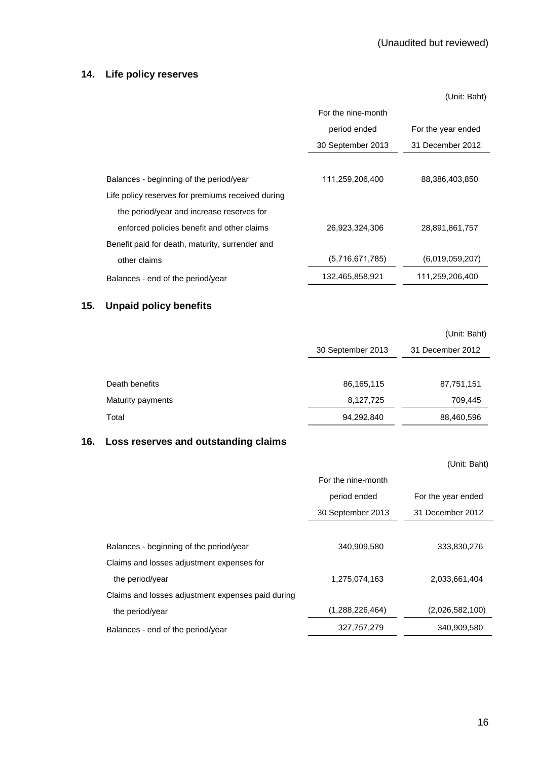## **14. Life policy reserves**

|                                                   |                    | (Unit: Baht)       |
|---------------------------------------------------|--------------------|--------------------|
|                                                   | For the nine-month |                    |
|                                                   | period ended       | For the year ended |
|                                                   | 30 September 2013  | 31 December 2012   |
|                                                   |                    |                    |
| Balances - beginning of the period/year           | 111,259,206,400    | 88,386,403,850     |
| Life policy reserves for premiums received during |                    |                    |
| the period/year and increase reserves for         |                    |                    |
| enforced policies benefit and other claims        | 26,923,324,306     | 28,891,861,757     |
| Benefit paid for death, maturity, surrender and   |                    |                    |
| other claims                                      | (5,716,671,785)    | (6,019,059,207)    |
| Balances - end of the period/year                 | 132,465,858,921    | 111,259,206,400    |

# **15. Unpaid policy benefits**

|                   |                   | (Unit: Baht)     |
|-------------------|-------------------|------------------|
|                   | 30 September 2013 | 31 December 2012 |
|                   |                   |                  |
| Death benefits    | 86,165,115        | 87,751,151       |
| Maturity payments | 8,127,725         | 709,445          |
| Total             | 94,292,840        | 88,460,596       |

## **16. Loss reserves and outstanding claims**

|                                                   |                    | (Unit: Baht)       |
|---------------------------------------------------|--------------------|--------------------|
|                                                   | For the nine-month |                    |
|                                                   | period ended       | For the year ended |
|                                                   | 30 September 2013  | 31 December 2012   |
|                                                   |                    |                    |
| Balances - beginning of the period/year           | 340,909,580        | 333,830,276        |
| Claims and losses adjustment expenses for         |                    |                    |
| the period/year                                   | 1,275,074,163      | 2,033,661,404      |
| Claims and losses adjustment expenses paid during |                    |                    |
| the period/year                                   | (1,288,226,464)    | (2,026,582,100)    |
| Balances - end of the period/year                 | 327,757,279        | 340,909,580        |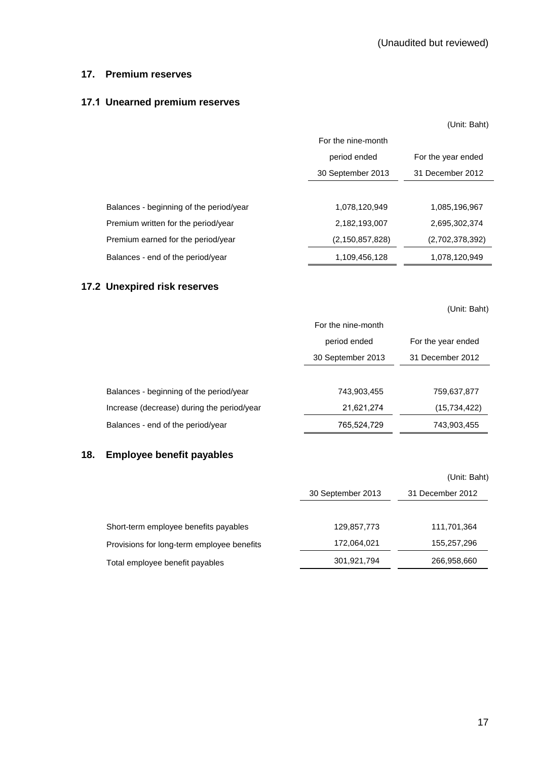### **17. Premium reserves**

## **17.1 Unearned premium reserves**

|                                         |                    | (Unit: Baht)       |
|-----------------------------------------|--------------------|--------------------|
|                                         | For the nine-month |                    |
|                                         | period ended       | For the year ended |
|                                         | 30 September 2013  | 31 December 2012   |
|                                         |                    |                    |
| Balances - beginning of the period/year | 1,078,120,949      | 1,085,196,967      |
| Premium written for the period/year     | 2,182,193,007      | 2,695,302,374      |
| Premium earned for the period/year      | (2, 150, 857, 828) | (2,702,378,392)    |
| Balances - end of the period/year       | 1,109,456,128      | 1,078,120,949      |

# **17.2 Unexpired risk reserves**

(Unit: Baht)

|                                            | For the nine-month                 |                  |  |
|--------------------------------------------|------------------------------------|------------------|--|
|                                            | period ended<br>For the year ended |                  |  |
|                                            | 30 September 2013                  | 31 December 2012 |  |
|                                            |                                    |                  |  |
| Balances - beginning of the period/year    | 743,903,455                        | 759,637,877      |  |
| Increase (decrease) during the period/year | 21,621,274                         | (15, 734, 422)   |  |
| Balances - end of the period/year          | 765,524,729                        | 743,903,455      |  |

# **18. Employee benefit payables**

|                                            |                   | (Unit: Baht)     |
|--------------------------------------------|-------------------|------------------|
|                                            | 30 September 2013 | 31 December 2012 |
|                                            |                   |                  |
| Short-term employee benefits payables      | 129,857,773       | 111,701,364      |
| Provisions for long-term employee benefits | 172,064,021       | 155,257,296      |
| Total employee benefit payables            | 301,921,794       | 266,958,660      |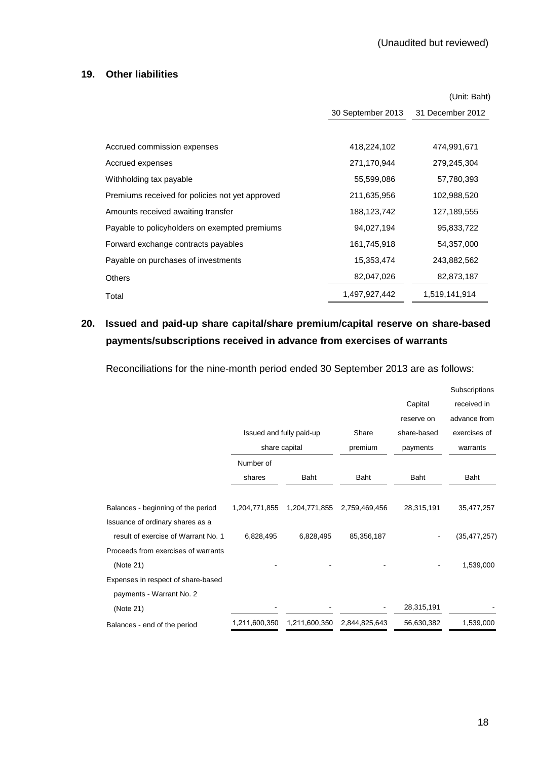### **19. Other liabilities**

|                                                 |                   | (Unit: Baht)     |
|-------------------------------------------------|-------------------|------------------|
|                                                 | 30 September 2013 | 31 December 2012 |
|                                                 |                   |                  |
| Accrued commission expenses                     | 418,224,102       | 474,991,671      |
| Accrued expenses                                | 271,170,944       | 279,245,304      |
| Withholding tax payable                         | 55,599,086        | 57,780,393       |
| Premiums received for policies not yet approved | 211,635,956       | 102,988,520      |
| Amounts received awaiting transfer              | 188,123,742       | 127,189,555      |
| Payable to policyholders on exempted premiums   | 94,027,194        | 95,833,722       |
| Forward exchange contracts payables             | 161,745,918       | 54,357,000       |
| Payable on purchases of investments             | 15,353,474        | 243,882,562      |
| <b>Others</b>                                   | 82,047,026        | 82,873,187       |
| Total                                           | 1,497,927,442     | 1,519,141,914    |

# **20. Issued and paid-up share capital/share premium/capital reserve on share-based payments/subscriptions received in advance from exercises of warrants**

Reconciliations for the nine-month period ended 30 September 2013 are as follows:

|                                     |               |                          |               |             | Subscriptions  |
|-------------------------------------|---------------|--------------------------|---------------|-------------|----------------|
|                                     |               |                          |               | Capital     | received in    |
|                                     |               |                          |               | reserve on  | advance from   |
|                                     |               | Issued and fully paid-up | Share         | share-based | exercises of   |
|                                     |               | share capital            | premium       | payments    | warrants       |
|                                     | Number of     |                          |               |             |                |
|                                     | shares        | <b>Baht</b>              | Baht          | Baht        | Baht           |
|                                     |               |                          |               |             |                |
| Balances - beginning of the period  | 1,204,771,855 | 1,204,771,855            | 2,759,469,456 | 28,315,191  | 35,477,257     |
| Issuance of ordinary shares as a    |               |                          |               |             |                |
| result of exercise of Warrant No. 1 | 6,828,495     | 6,828,495                | 85,356,187    |             | (35, 477, 257) |
| Proceeds from exercises of warrants |               |                          |               |             |                |
| (Note 21)                           |               |                          |               |             | 1,539,000      |
| Expenses in respect of share-based  |               |                          |               |             |                |
| payments - Warrant No. 2            |               |                          |               |             |                |
| (Note 21)                           |               |                          |               | 28,315,191  |                |
| Balances - end of the period        | 1,211,600,350 | 1,211,600,350            | 2,844,825,643 | 56,630,382  | 1,539,000      |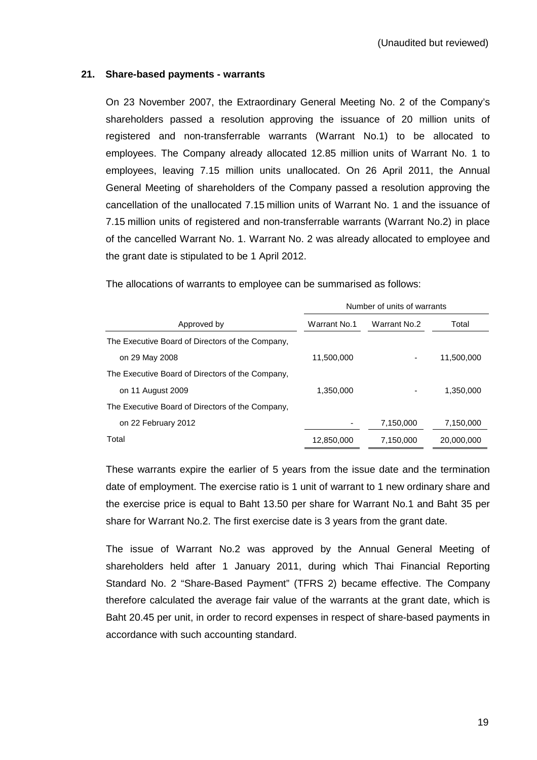## **21. Share-based payments - warrants**

On 23 November 2007, the Extraordinary General Meeting No. 2 of the Company's shareholders passed a resolution approving the issuance of 20 million units of registered and non-transferrable warrants (Warrant No.1) to be allocated to employees. The Company already allocated 12.85 million units of Warrant No. 1 to employees, leaving 7.15 million units unallocated. On 26 April 2011, the Annual General Meeting of shareholders of the Company passed a resolution approving the cancellation of the unallocated 7.15 million units of Warrant No. 1 and the issuance of 7.15 million units of registered and non-transferrable warrants (Warrant No.2) in place of the cancelled Warrant No. 1. Warrant No. 2 was already allocated to employee and the grant date is stipulated to be 1 April 2012.

|                                                  | Number of units of warrants |              |            |
|--------------------------------------------------|-----------------------------|--------------|------------|
| Approved by                                      | Warrant No.1                | Warrant No.2 | Total      |
| The Executive Board of Directors of the Company, |                             |              |            |
| on 29 May 2008                                   | 11,500,000                  |              | 11,500,000 |
| The Executive Board of Directors of the Company, |                             |              |            |
| on 11 August 2009                                | 1,350,000                   |              | 1,350,000  |
| The Executive Board of Directors of the Company, |                             |              |            |
| on 22 February 2012                              |                             | 7,150,000    | 7,150,000  |
| Total                                            | 12,850,000                  | 7,150,000    | 20,000,000 |

The allocations of warrants to employee can be summarised as follows:

 These warrants expire the earlier of 5 years from the issue date and the termination date of employment. The exercise ratio is 1 unit of warrant to 1 new ordinary share and the exercise price is equal to Baht 13.50 per share for Warrant No.1 and Baht 35 per share for Warrant No.2. The first exercise date is 3 years from the grant date.

 The issue of Warrant No.2 was approved by the Annual General Meeting of shareholders held after 1 January 2011, during which Thai Financial Reporting Standard No. 2 "Share-Based Payment" (TFRS 2) became effective. The Company therefore calculated the average fair value of the warrants at the grant date, which is Baht 20.45 per unit, in order to record expenses in respect of share-based payments in accordance with such accounting standard.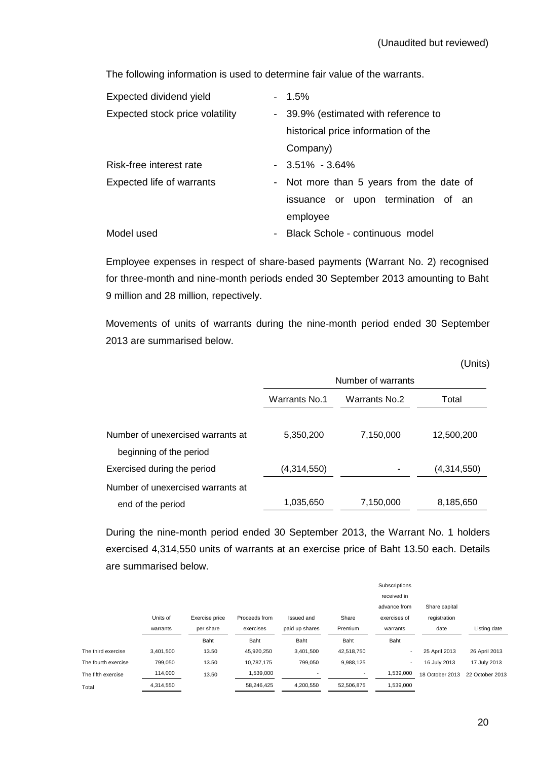The following information is used to determine fair value of the warrants.

| Expected dividend yield         | $-1.5\%$                                                    |
|---------------------------------|-------------------------------------------------------------|
| Expected stock price volatility | - 39.9% (estimated with reference to                        |
|                                 | historical price information of the                         |
|                                 | Company)                                                    |
| Risk-free interest rate         | $-3.51\% -3.64\%$                                           |
| Expected life of warrants       | - Not more than 5 years from the date of                    |
|                                 | issuance or upon termination of an                          |
|                                 | employee                                                    |
| Model used                      | Black Schole - continuous model<br>$\overline{\phantom{0}}$ |
|                                 |                                                             |

Employee expenses in respect of share-based payments (Warrant No. 2) recognised for three-month and nine-month periods ended 30 September 2013 amounting to Baht 9 million and 28 million, repectively.

 Movements of units of warrants during the nine-month period ended 30 September 2013 are summarised below.

|                                   |                                                |           | (Units)     |  |
|-----------------------------------|------------------------------------------------|-----------|-------------|--|
|                                   | Number of warrants                             |           |             |  |
|                                   | Warrants No.1<br><b>Warrants No.2</b><br>Total |           |             |  |
|                                   |                                                |           |             |  |
| Number of unexercised warrants at | 5,350,200                                      | 7,150,000 | 12,500,200  |  |
| beginning of the period           |                                                |           |             |  |
| Exercised during the period       | (4,314,550)                                    |           | (4,314,550) |  |
| Number of unexercised warrants at |                                                |           |             |  |
| end of the period                 | 1,035,650                                      | 7,150,000 | 8,185,650   |  |

During the nine-month period ended 30 September 2013, the Warrant No. 1 holders exercised 4,314,550 units of warrants at an exercise price of Baht 13.50 each. Details are summarised below.

|                     |           |                |               |                |                          | Subscriptions |                 |                 |
|---------------------|-----------|----------------|---------------|----------------|--------------------------|---------------|-----------------|-----------------|
|                     |           |                |               |                |                          | received in   |                 |                 |
|                     |           |                |               |                |                          | advance from  | Share capital   |                 |
|                     | Units of  | Exercise price | Proceeds from | Issued and     | Share                    | exercises of  | registration    |                 |
|                     | warrants  | per share      | exercises     | paid up shares | Premium                  | warrants      | date            | Listing date    |
|                     |           | Baht           | Baht          | Baht           | Baht                     | Baht          |                 |                 |
| The third exercise  | 3.401.500 | 13.50          | 45,920,250    | 3,401,500      | 42,518,750               |               | 25 April 2013   | 26 April 2013   |
| The fourth exercise | 799,050   | 13.50          | 10.787.175    | 799,050        | 9,988,125                | ٠             | 16 July 2013    | 17 July 2013    |
| The fifth exercise  | 114,000   | 13.50          | 1,539,000     |                | $\overline{\phantom{a}}$ | 1,539,000     | 18 October 2013 | 22 October 2013 |
| Total               | 4,314,550 |                | 58,246,425    | 4,200,550      | 52,506,875               | 1,539,000     |                 |                 |
|                     |           |                |               |                |                          |               |                 |                 |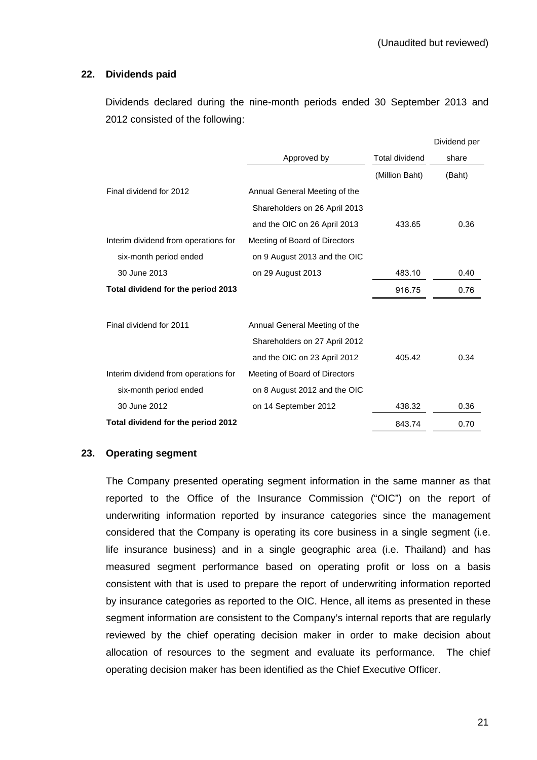## **22. Dividends paid**

 Dividends declared during the nine-month periods ended 30 September 2013 and 2012 consisted of the following:

|                                      |                               |                       | Dividend per |
|--------------------------------------|-------------------------------|-----------------------|--------------|
|                                      | Approved by                   | <b>Total dividend</b> | share        |
|                                      |                               | (Million Baht)        | (Baht)       |
| Final dividend for 2012              | Annual General Meeting of the |                       |              |
|                                      | Shareholders on 26 April 2013 |                       |              |
|                                      | and the OIC on 26 April 2013  | 433.65                | 0.36         |
| Interim dividend from operations for | Meeting of Board of Directors |                       |              |
| six-month period ended               | on 9 August 2013 and the OIC  |                       |              |
| 30 June 2013                         | on 29 August 2013             | 483.10                | 0.40         |
| Total dividend for the period 2013   |                               | 916.75                | 0.76         |
|                                      |                               |                       |              |
| Final dividend for 2011              | Annual General Meeting of the |                       |              |
|                                      | Shareholders on 27 April 2012 |                       |              |
|                                      | and the OIC on 23 April 2012  | 405.42                | 0.34         |
| Interim dividend from operations for | Meeting of Board of Directors |                       |              |
| six-month period ended               | on 8 August 2012 and the OIC  |                       |              |
| 30 June 2012                         | on 14 September 2012          | 438.32                | 0.36         |
| Total dividend for the period 2012   |                               | 843.74                | 0.70         |

## **23. Operating segment**

The Company presented operating segment information in the same manner as that reported to the Office of the Insurance Commission ("OIC") on the report of underwriting information reported by insurance categories since the management considered that the Company is operating its core business in a single segment (i.e. life insurance business) and in a single geographic area (i.e. Thailand) and has measured segment performance based on operating profit or loss on a basis consistent with that is used to prepare the report of underwriting information reported by insurance categories as reported to the OIC. Hence, all items as presented in these segment information are consistent to the Company's internal reports that are regularly reviewed by the chief operating decision maker in order to make decision about allocation of resources to the segment and evaluate its performance. The chief operating decision maker has been identified as the Chief Executive Officer.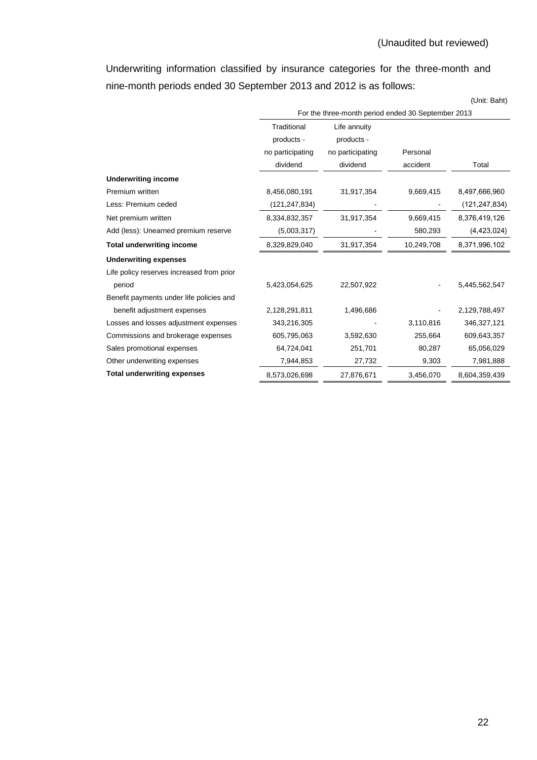Underwriting information classified by insurance categories for the three-month and nine-month periods ended 30 September 2013 and 2012 is as follows:

(Unit: Baht)

|                                           | For the three-month period ended 30 September 2013 |                  |            |                 |
|-------------------------------------------|----------------------------------------------------|------------------|------------|-----------------|
|                                           | Traditional<br>Life annuity                        |                  |            |                 |
|                                           | products -                                         | products -       |            |                 |
|                                           | no participating                                   | no participating | Personal   |                 |
|                                           | dividend                                           | dividend         | accident   | Total           |
| <b>Underwriting income</b>                |                                                    |                  |            |                 |
| Premium written                           | 8,456,080,191                                      | 31,917,354       | 9,669,415  | 8,497,666,960   |
| Less: Premium ceded                       | (121,247,834)                                      |                  |            | (121, 247, 834) |
| Net premium written                       | 8,334,832,357                                      | 31,917,354       | 9,669,415  | 8,376,419,126   |
| Add (less): Unearned premium reserve      | (5,003,317)                                        |                  | 580,293    | (4,423,024)     |
| <b>Total underwriting income</b>          | 8,329,829,040                                      | 31,917,354       | 10,249,708 | 8,371,996,102   |
| <b>Underwriting expenses</b>              |                                                    |                  |            |                 |
| Life policy reserves increased from prior |                                                    |                  |            |                 |
| period                                    | 5,423,054,625                                      | 22,507,922       |            | 5,445,562,547   |
| Benefit payments under life policies and  |                                                    |                  |            |                 |
| benefit adjustment expenses               | 2,128,291,811                                      | 1,496,686        |            | 2,129,788,497   |
| Losses and losses adjustment expenses     | 343,216,305                                        |                  | 3,110,816  | 346,327,121     |
| Commissions and brokerage expenses        | 605,795,063                                        | 3,592,630        | 255,664    | 609,643,357     |
| Sales promotional expenses                | 64,724,041                                         | 251,701          | 80,287     | 65,056,029      |
| Other underwriting expenses               | 7,944,853                                          | 27,732           | 9,303      | 7,981,888       |
| <b>Total underwriting expenses</b>        | 8,573,026,698                                      | 27,876,671       | 3,456,070  | 8,604,359,439   |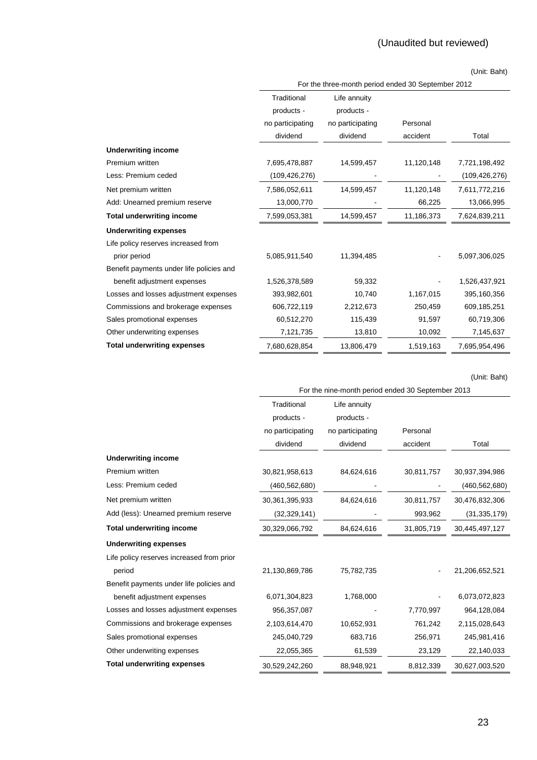### (Unit: Baht)

|                                          | For the three-month period ended 30 September 2012 |                  |            |                 |
|------------------------------------------|----------------------------------------------------|------------------|------------|-----------------|
|                                          | Traditional                                        | Life annuity     |            |                 |
|                                          | products -                                         | products -       |            |                 |
|                                          | no participating                                   | no participating | Personal   |                 |
|                                          | dividend                                           | dividend         | accident   | Total           |
| <b>Underwriting income</b>               |                                                    |                  |            |                 |
| Premium written                          | 7,695,478,887                                      | 14,599,457       | 11,120,148 | 7,721,198,492   |
| Less: Premium ceded                      | (109,426,276)                                      |                  |            | (109, 426, 276) |
| Net premium written                      | 7,586,052,611                                      | 14,599,457       | 11,120,148 | 7,611,772,216   |
| Add: Unearned premium reserve            | 13,000,770                                         |                  | 66,225     | 13,066,995      |
| <b>Total underwriting income</b>         | 7,599,053,381                                      | 14,599,457       | 11,186,373 | 7,624,839,211   |
| <b>Underwriting expenses</b>             |                                                    |                  |            |                 |
| Life policy reserves increased from      |                                                    |                  |            |                 |
| prior period                             | 5,085,911,540                                      | 11,394,485       |            | 5,097,306,025   |
| Benefit payments under life policies and |                                                    |                  |            |                 |
| benefit adjustment expenses              | 1,526,378,589                                      | 59,332           |            | 1,526,437,921   |
| Losses and losses adjustment expenses    | 393,982,601                                        | 10,740           | 1,167,015  | 395,160,356     |
| Commissions and brokerage expenses       | 606,722,119                                        | 2,212,673        | 250,459    | 609,185,251     |
| Sales promotional expenses               | 60,512,270                                         | 115,439          | 91,597     | 60,719,306      |
| Other underwriting expenses              | 7,121,735                                          | 13,810           | 10,092     | 7,145,637       |
| <b>Total underwriting expenses</b>       | 7,680,628,854                                      | 13,806,479       | 1,519,163  | 7,695,954,496   |

(Unit: Baht)

| For the nine-month period ended 30 September 2013 |
|---------------------------------------------------|
|                                                   |

|                                           | Traditional      | Life annuity     |            |                 |
|-------------------------------------------|------------------|------------------|------------|-----------------|
|                                           | products -       | products -       |            |                 |
|                                           | no participating | no participating | Personal   |                 |
|                                           | dividend         | dividend         | accident   | Total           |
| <b>Underwriting income</b>                |                  |                  |            |                 |
| Premium written                           | 30,821,958,613   | 84,624,616       | 30,811,757 | 30,937,394,986  |
| Less: Premium ceded                       | (460, 562, 680)  |                  |            | (460, 562, 680) |
| Net premium written                       | 30,361,395,933   | 84,624,616       | 30,811,757 | 30,476,832,306  |
| Add (less): Unearned premium reserve      | (32, 329, 141)   |                  | 993,962    | (31, 335, 179)  |
| <b>Total underwriting income</b>          | 30,329,066,792   | 84,624,616       | 31,805,719 | 30,445,497,127  |
| <b>Underwriting expenses</b>              |                  |                  |            |                 |
| Life policy reserves increased from prior |                  |                  |            |                 |
| period                                    | 21,130,869,786   | 75,782,735       |            | 21,206,652,521  |
| Benefit payments under life policies and  |                  |                  |            |                 |
| benefit adjustment expenses               | 6,071,304,823    | 1,768,000        |            | 6,073,072,823   |
| Losses and losses adjustment expenses     | 956,357,087      |                  | 7,770,997  | 964,128,084     |
| Commissions and brokerage expenses        | 2,103,614,470    | 10,652,931       | 761,242    | 2,115,028,643   |
| Sales promotional expenses                | 245,040,729      | 683,716          | 256,971    | 245,981,416     |
| Other underwriting expenses               | 22,055,365       | 61,539           | 23,129     | 22,140,033      |
| <b>Total underwriting expenses</b>        | 30,529,242,260   | 88,948,921       | 8,812,339  | 30,627,003,520  |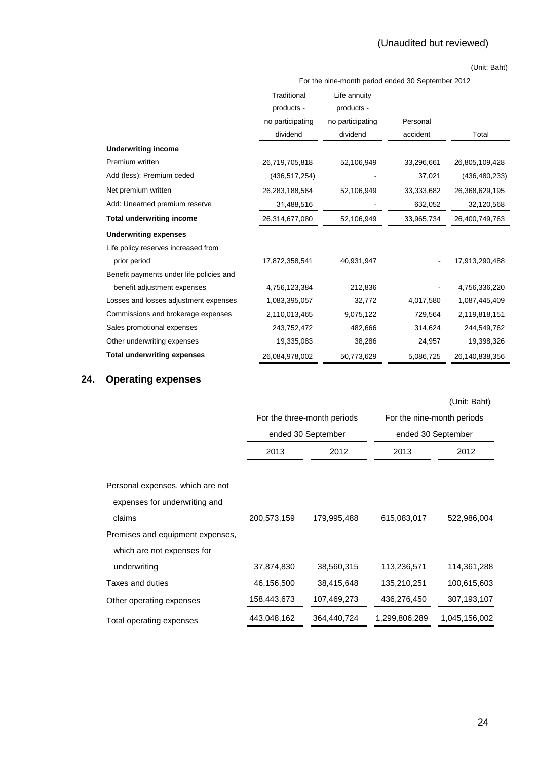# (Unaudited but reviewed)

(Unit: Baht)

|                                          | For the nine-month period ended 30 September 2012 |                  |            |                 |
|------------------------------------------|---------------------------------------------------|------------------|------------|-----------------|
|                                          | Traditional                                       | Life annuity     |            |                 |
|                                          | products -                                        | products -       |            |                 |
|                                          | no participating                                  | no participating | Personal   |                 |
|                                          | dividend                                          | dividend         | accident   | Total           |
| <b>Underwriting income</b>               |                                                   |                  |            |                 |
| Premium written                          | 26,719,705,818                                    | 52,106,949       | 33,296,661 | 26,805,109,428  |
| Add (less): Premium ceded                | (436, 517, 254)                                   |                  | 37,021     | (436, 480, 233) |
| Net premium written                      | 26,283,188,564                                    | 52,106,949       | 33,333,682 | 26,368,629,195  |
| Add: Unearned premium reserve            | 31,488,516                                        |                  | 632,052    | 32,120,568      |
| <b>Total underwriting income</b>         | 26,314,677,080                                    | 52,106,949       | 33,965,734 | 26,400,749,763  |
| <b>Underwriting expenses</b>             |                                                   |                  |            |                 |
| Life policy reserves increased from      |                                                   |                  |            |                 |
| prior period                             | 17,872,358,541                                    | 40,931,947       |            | 17,913,290,488  |
| Benefit payments under life policies and |                                                   |                  |            |                 |
| benefit adjustment expenses              | 4,756,123,384                                     | 212,836          |            | 4,756,336,220   |
| Losses and losses adjustment expenses    | 1,083,395,057                                     | 32,772           | 4,017,580  | 1,087,445,409   |
| Commissions and brokerage expenses       | 2,110,013,465                                     | 9,075,122        | 729,564    | 2,119,818,151   |
| Sales promotional expenses               | 243,752,472                                       | 482,666          | 314,624    | 244,549,762     |
| Other underwriting expenses              | 19,335,083                                        | 38,286           | 24,957     | 19,398,326      |
| <b>Total underwriting expenses</b>       | 26,084,978,002                                    | 50,773,629       | 5,086,725  | 26,140,838,356  |

# **24. Operating expenses**

|                                  |             |                             |               | (Unit: Baht)               |
|----------------------------------|-------------|-----------------------------|---------------|----------------------------|
|                                  |             | For the three-month periods |               | For the nine-month periods |
|                                  |             | ended 30 September          |               | ended 30 September         |
|                                  | 2013        | 2012                        | 2013          | 2012                       |
|                                  |             |                             |               |                            |
| Personal expenses, which are not |             |                             |               |                            |
| expenses for underwriting and    |             |                             |               |                            |
| claims                           | 200,573,159 | 179,995,488                 | 615,083,017   | 522,986,004                |
| Premises and equipment expenses, |             |                             |               |                            |
| which are not expenses for       |             |                             |               |                            |
| underwriting                     | 37,874,830  | 38,560,315                  | 113,236,571   | 114,361,288                |
| Taxes and duties                 | 46,156,500  | 38,415,648                  | 135,210,251   | 100,615,603                |
| Other operating expenses         | 158,443,673 | 107,469,273                 | 436,276,450   | 307,193,107                |
| Total operating expenses         | 443,048,162 | 364,440,724                 | 1,299,806,289 | 1,045,156,002              |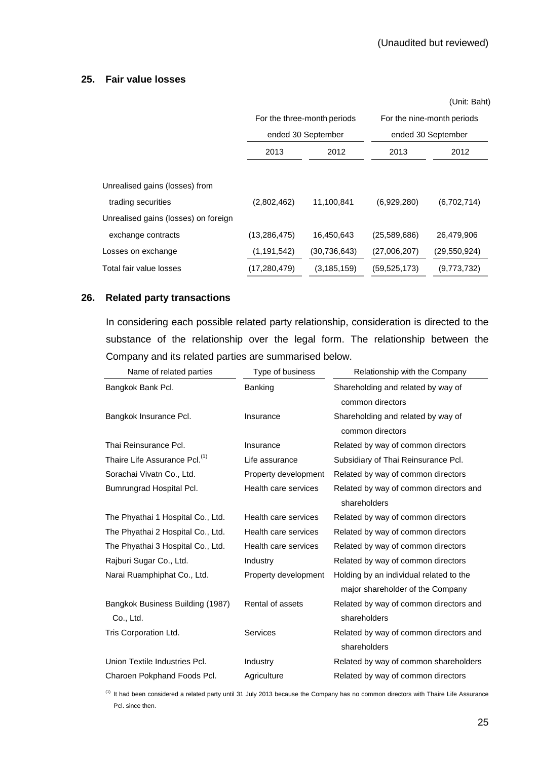### **25. Fair value losses**

|                                      |                |                             |                | (Unit: Baht)               |
|--------------------------------------|----------------|-----------------------------|----------------|----------------------------|
|                                      |                | For the three-month periods |                | For the nine-month periods |
|                                      |                | ended 30 September          |                | ended 30 September         |
|                                      | 2013<br>2012   |                             | 2013           | 2012                       |
|                                      |                |                             |                |                            |
| Unrealised gains (losses) from       |                |                             |                |                            |
| trading securities                   | (2,802,462)    | 11,100,841                  | (6,929,280)    | (6,702,714)                |
| Unrealised gains (losses) on foreign |                |                             |                |                            |
| exchange contracts                   | (13, 286, 475) | 16,450,643                  | (25,589,686)   | 26,479,906                 |
| Losses on exchange                   | (1, 191, 542)  | (30, 736, 643)              | (27,006,207)   | (29, 550, 924)             |
| Total fair value losses              | (17, 280, 479) | (3, 185, 159)               | (59, 525, 173) | (9,773,732)                |

### **26. Related party transactions**

 In considering each possible related party relationship, consideration is directed to the substance of the relationship over the legal form. The relationship between the Company and its related parties are summarised below.

| Name of related parties                       | Type of business     | Relationship with the Company                                               |
|-----------------------------------------------|----------------------|-----------------------------------------------------------------------------|
| Bangkok Bank Pcl.                             | Banking              | Shareholding and related by way of<br>common directors                      |
| Bangkok Insurance Pcl.                        | Insurance            | Shareholding and related by way of<br>common directors                      |
| Thai Reinsurance Pcl.                         | Insurance            | Related by way of common directors                                          |
| Thaire Life Assurance Pcl. <sup>(1)</sup>     | Life assurance       | Subsidiary of Thai Reinsurance Pcl.                                         |
| Sorachai Vivatn Co., Ltd.                     | Property development | Related by way of common directors                                          |
| Bumrungrad Hospital Pcl.                      | Health care services | Related by way of common directors and<br>shareholders                      |
| The Phyathai 1 Hospital Co., Ltd.             | Health care services | Related by way of common directors                                          |
| The Phyathai 2 Hospital Co., Ltd.             | Health care services | Related by way of common directors                                          |
| The Phyathai 3 Hospital Co., Ltd.             | Health care services | Related by way of common directors                                          |
| Rajburi Sugar Co., Ltd.                       | Industry             | Related by way of common directors                                          |
| Narai Ruamphiphat Co., Ltd.                   | Property development | Holding by an individual related to the<br>major shareholder of the Company |
| Bangkok Business Building (1987)<br>Co., Ltd. | Rental of assets     | Related by way of common directors and<br>shareholders                      |
| Tris Corporation Ltd.                         | Services             | Related by way of common directors and<br>shareholders                      |
| Union Textile Industries Pcl.                 | Industry             | Related by way of common shareholders                                       |
| Charoen Pokphand Foods Pcl.                   | Agriculture          | Related by way of common directors                                          |

(1) It had been considered a related party until 31 July 2013 because the Company has no common directors with Thaire Life Assurance Pcl. since then.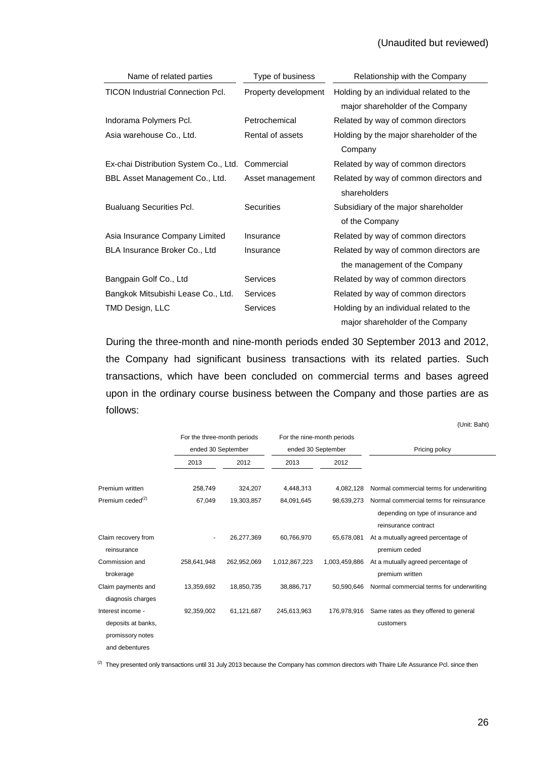## (Unaudited but reviewed)

| Name of related parties                 | Type of business     | Relationship with the Company                          |
|-----------------------------------------|----------------------|--------------------------------------------------------|
| <b>TICON Industrial Connection Pcl.</b> | Property development | Holding by an individual related to the                |
|                                         |                      | major shareholder of the Company                       |
| Indorama Polymers Pcl.                  | Petrochemical        | Related by way of common directors                     |
| Asia warehouse Co., Ltd.                | Rental of assets     | Holding by the major shareholder of the                |
|                                         |                      | Company                                                |
| Ex-chai Distribution System Co., Ltd.   | Commercial           | Related by way of common directors                     |
| BBL Asset Management Co., Ltd.          | Asset management     | Related by way of common directors and<br>shareholders |
| <b>Bualuang Securities Pcl.</b>         | <b>Securities</b>    | Subsidiary of the major shareholder                    |
|                                         |                      | of the Company                                         |
| Asia Insurance Company Limited          | Insurance            | Related by way of common directors                     |
| BLA Insurance Broker Co., Ltd           | Insurance            | Related by way of common directors are.                |
|                                         |                      | the management of the Company                          |
| Bangpain Golf Co., Ltd                  | <b>Services</b>      | Related by way of common directors                     |
| Bangkok Mitsubishi Lease Co., Ltd.      | Services             | Related by way of common directors                     |
| TMD Design, LLC                         | <b>Services</b>      | Holding by an individual related to the                |
|                                         |                      | major shareholder of the Company                       |

 During the three-month and nine-month periods ended 30 September 2013 and 2012, the Company had significant business transactions with its related parties. Such transactions, which have been concluded on commercial terms and bases agreed upon in the ordinary course business between the Company and those parties are as follows:

|                                                          |                             |             |                            |               | (Unit: Baht)                                                                                          |
|----------------------------------------------------------|-----------------------------|-------------|----------------------------|---------------|-------------------------------------------------------------------------------------------------------|
|                                                          | For the three-month periods |             | For the nine-month periods |               |                                                                                                       |
|                                                          | ended 30 September          |             | ended 30 September         |               | Pricing policy                                                                                        |
|                                                          | 2013                        | 2012        | 2013                       | 2012          |                                                                                                       |
| Premium written                                          | 258,749                     | 324,207     | 4,448,313                  | 4.082.128     | Normal commercial terms for underwriting                                                              |
| Premium ceded <sup>(2)</sup>                             | 67,049                      | 19,303,857  | 84,091,645                 | 98.639.273    | Normal commercial terms for reinsurance<br>depending on type of insurance and<br>reinsurance contract |
| Claim recovery from<br>reinsurance                       |                             | 26,277,369  | 60,766,970                 | 65,678,081    | At a mutually agreed percentage of<br>premium ceded                                                   |
| Commission and<br>brokerage                              | 258,641,948                 | 262,952,069 | 1,012,867,223              | 1,003,459,886 | At a mutually agreed percentage of<br>premium written                                                 |
| Claim payments and<br>diagnosis charges                  | 13,359,692                  | 18,850,735  | 38,886,717                 | 50.590.646    | Normal commercial terms for underwriting                                                              |
| Interest income -                                        | 92,359,002                  | 61,121,687  | 245,613,963                | 176.978.916   | Same rates as they offered to general                                                                 |
| deposits at banks,<br>promissory notes<br>and debentures |                             |             |                            |               | customers                                                                                             |

<sup>(2)</sup> They presented only transactions until 31 July 2013 because the Company has common directors with Thaire Life Assurance Pcl. since then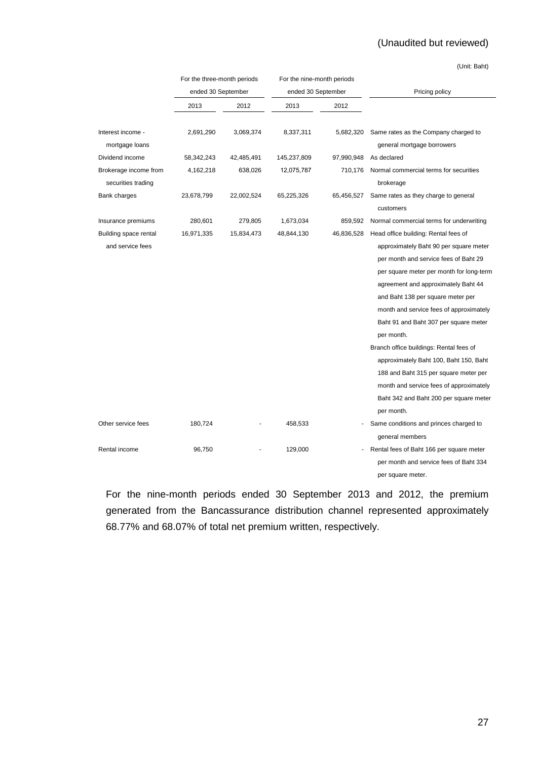# (Unaudited but reviewed)

(Unit: Baht)

|                                             | For the three-month periods |            | For the nine-month periods |            |                                                                                                                                                                                                                                                                                                                                                                                                                                                                                                                                            |
|---------------------------------------------|-----------------------------|------------|----------------------------|------------|--------------------------------------------------------------------------------------------------------------------------------------------------------------------------------------------------------------------------------------------------------------------------------------------------------------------------------------------------------------------------------------------------------------------------------------------------------------------------------------------------------------------------------------------|
|                                             | ended 30 September          |            | ended 30 September         |            | Pricing policy                                                                                                                                                                                                                                                                                                                                                                                                                                                                                                                             |
|                                             | 2013                        | 2012       | 2013                       | 2012       |                                                                                                                                                                                                                                                                                                                                                                                                                                                                                                                                            |
| Interest income -<br>mortgage loans         | 2,691,290                   | 3,069,374  | 8,337,311                  | 5,682,320  | Same rates as the Company charged to<br>general mortgage borrowers                                                                                                                                                                                                                                                                                                                                                                                                                                                                         |
| Dividend income                             | 58,342,243                  | 42,485,491 | 145,237,809                | 97,990,948 | As declared                                                                                                                                                                                                                                                                                                                                                                                                                                                                                                                                |
| Brokerage income from<br>securities trading | 4,162,218                   | 638,026    | 12,075,787                 | 710,176    | Normal commercial terms for securities<br>brokerage                                                                                                                                                                                                                                                                                                                                                                                                                                                                                        |
| Bank charges                                | 23,678,799                  | 22,002,524 | 65,225,326                 | 65,456,527 | Same rates as they charge to general<br>customers                                                                                                                                                                                                                                                                                                                                                                                                                                                                                          |
| Insurance premiums                          | 280,601                     | 279,805    | 1,673,034                  | 859,592    | Normal commercial terms for underwriting                                                                                                                                                                                                                                                                                                                                                                                                                                                                                                   |
| Building space rental                       | 16,971,335                  | 15,834,473 | 48,844,130                 | 46,836,528 | Head office building: Rental fees of                                                                                                                                                                                                                                                                                                                                                                                                                                                                                                       |
| and service fees                            |                             |            |                            |            | approximately Baht 90 per square meter<br>per month and service fees of Baht 29<br>per square meter per month for long-term<br>agreement and approximately Baht 44<br>and Baht 138 per square meter per<br>month and service fees of approximately<br>Baht 91 and Baht 307 per square meter<br>per month.<br>Branch office buildings: Rental fees of<br>approximately Baht 100, Baht 150, Baht<br>188 and Baht 315 per square meter per<br>month and service fees of approximately<br>Baht 342 and Baht 200 per square meter<br>per month. |
| Other service fees                          | 180,724                     |            | 458,533                    |            | Same conditions and princes charged to                                                                                                                                                                                                                                                                                                                                                                                                                                                                                                     |
|                                             |                             |            |                            |            | general members                                                                                                                                                                                                                                                                                                                                                                                                                                                                                                                            |
| Rental income                               | 96,750                      |            | 129,000                    |            | Rental fees of Baht 166 per square meter<br>per month and service fees of Baht 334<br>per square meter.                                                                                                                                                                                                                                                                                                                                                                                                                                    |

 For the nine-month periods ended 30 September 2013 and 2012, the premium generated from the Bancassurance distribution channel represented approximately 68.77% and 68.07% of total net premium written, respectively.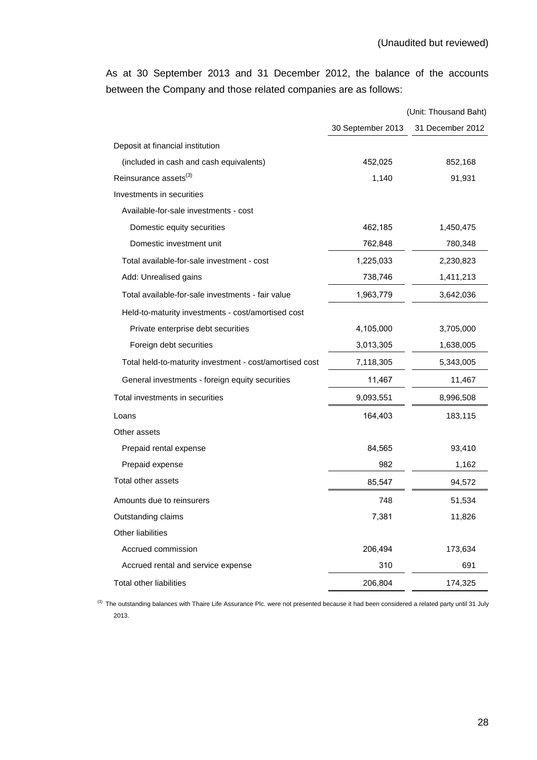As at 30 September 2013 and 31 December 2012, the balance of the accounts between the Company and those related companies are as follows:

|                                                         |                   | (Unit: Thousand Baht) |
|---------------------------------------------------------|-------------------|-----------------------|
|                                                         | 30 September 2013 | 31 December 2012      |
| Deposit at financial institution                        |                   |                       |
| (included in cash and cash equivalents)                 | 452,025           | 852,168               |
| Reinsurance assets <sup>(3)</sup>                       | 1,140             | 91,931                |
| Investments in securities                               |                   |                       |
| Available-for-sale investments - cost                   |                   |                       |
| Domestic equity securities                              | 462,185           | 1,450,475             |
| Domestic investment unit                                | 762,848           | 780,348               |
| Total available-for-sale investment - cost              | 1,225,033         | 2,230,823             |
| Add: Unrealised gains                                   | 738,746           | 1,411,213             |
| Total available-for-sale investments - fair value       | 1,963,779         | 3,642,036             |
| Held-to-maturity investments - cost/amortised cost      |                   |                       |
| Private enterprise debt securities                      | 4,105,000         | 3,705,000             |
| Foreign debt securities                                 | 3,013,305         | 1,638,005             |
| Total held-to-maturity investment - cost/amortised cost | 7,118,305         | 5,343,005             |
| General investments - foreign equity securities         | 11,467            | 11,467                |
| Total investments in securities                         | 9,093,551         | 8,996,508             |
| Loans                                                   | 164,403           | 183,115               |
| Other assets                                            |                   |                       |
| Prepaid rental expense                                  | 84,565            | 93,410                |
| Prepaid expense                                         | 982               | 1,162                 |
| Total other assets                                      | 85,547            | 94,572                |
| Amounts due to reinsurers                               | 748               | 51,534                |
| Outstanding claims                                      | 7,381             | 11,826                |
| Other liabilities                                       |                   |                       |
| Accrued commission                                      | 206,494           | 173,634               |
| Accrued rental and service expense                      | 310               | 691                   |
| Total other liabilities                                 | 206,804           | 174,325               |

<sup>(3)</sup> The outstanding balances with Thaire Life Assurance Plc. were not presented because it had been considered a related party until 31 July 2013.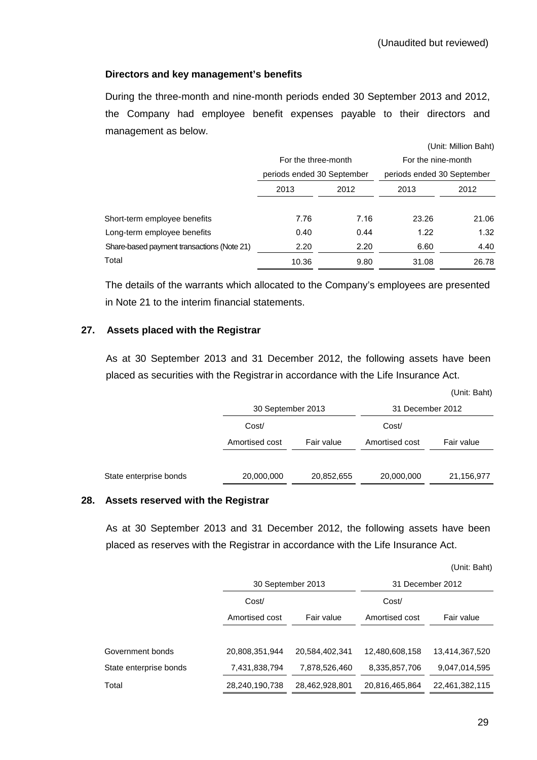## **Directors and key management's benefits**

 During the three-month and nine-month periods ended 30 September 2013 and 2012, the Company had employee benefit expenses payable to their directors and management as below.

|                                            |                            |      |                            | (Unit: Million Baht) |
|--------------------------------------------|----------------------------|------|----------------------------|----------------------|
|                                            | For the three-month        |      | For the nine-month         |                      |
|                                            | periods ended 30 September |      | periods ended 30 September |                      |
|                                            | 2013                       | 2012 | 2013                       | 2012                 |
| Short-term employee benefits               | 7.76                       | 7.16 | 23.26                      | 21.06                |
| Long-term employee benefits                | 0.40                       | 0.44 | 1.22                       | 1.32                 |
| Share-based payment transactions (Note 21) | 2.20                       | 2.20 | 6.60                       | 4.40                 |
| Total                                      | 10.36                      | 9.80 | 31.08                      | 26.78                |

The details of the warrants which allocated to the Company's employees are presented in Note 21 to the interim financial statements.

## **27. Assets placed with the Registrar**

 As at 30 September 2013 and 31 December 2012, the following assets have been placed as securities with the Registrar in accordance with the Life Insurance Act.

|                        |                   |            |                  | (Unit: Baht) |
|------------------------|-------------------|------------|------------------|--------------|
|                        | 30 September 2013 |            | 31 December 2012 |              |
|                        | Cost/             |            | Cost/            |              |
|                        | Amortised cost    | Fair value | Amortised cost   | Fair value   |
|                        |                   |            |                  |              |
| State enterprise bonds | 20,000,000        | 20,852,655 | 20,000,000       | 21,156,977   |

### **28. Assets reserved with the Registrar**

 As at 30 September 2013 and 31 December 2012, the following assets have been placed as reserves with the Registrar in accordance with the Life Insurance Act.

|                        |                   |                |                | (Unit: Baht)     |  |  |       |  |
|------------------------|-------------------|----------------|----------------|------------------|--|--|-------|--|
|                        | 30 September 2013 |                |                | 31 December 2012 |  |  |       |  |
|                        | Cost/             |                |                |                  |  |  | Cost/ |  |
|                        | Amortised cost    | Fair value     | Amortised cost | Fair value       |  |  |       |  |
|                        |                   |                |                |                  |  |  |       |  |
| Government bonds       | 20,808,351,944    | 20.584.402.341 | 12,480,608,158 | 13,414,367,520   |  |  |       |  |
| State enterprise bonds | 7,431,838,794     | 7,878,526,460  | 8,335,857,706  | 9,047,014,595    |  |  |       |  |
| Total                  | 28,240,190,738    | 28,462,928,801 | 20,816,465,864 | 22,461,382,115   |  |  |       |  |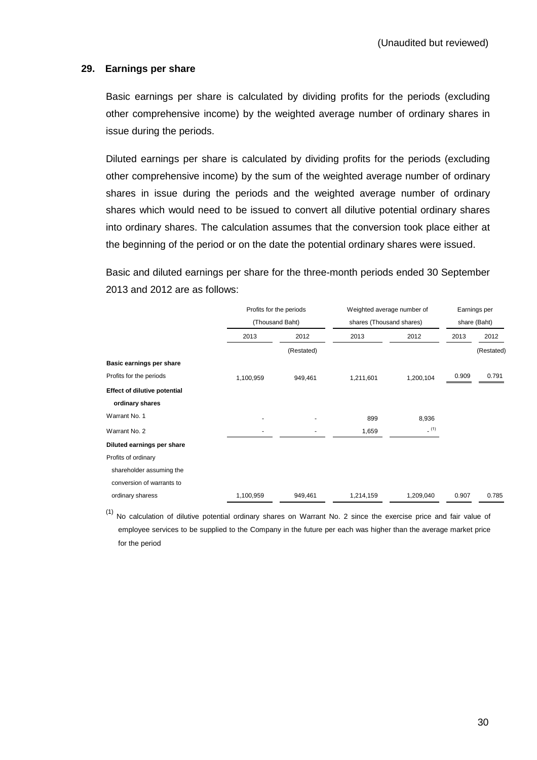### **29. Earnings per share**

 Basic earnings per share is calculated by dividing profits for the periods (excluding other comprehensive income) by the weighted average number of ordinary shares in issue during the periods.

 Diluted earnings per share is calculated by dividing profits for the periods (excluding other comprehensive income) by the sum of the weighted average number of ordinary shares in issue during the periods and the weighted average number of ordinary shares which would need to be issued to convert all dilutive potential ordinary shares into ordinary shares. The calculation assumes that the conversion took place either at the beginning of the period or on the date the potential ordinary shares were issued.

Basic and diluted earnings per share for the three-month periods ended 30 September 2013 and 2012 are as follows:

|                                     | Profits for the periods<br>(Thousand Baht) |            | Weighted average number of<br>shares (Thousand shares) |           | Earnings per<br>share (Baht) |            |
|-------------------------------------|--------------------------------------------|------------|--------------------------------------------------------|-----------|------------------------------|------------|
|                                     |                                            |            |                                                        |           |                              |            |
|                                     | 2013                                       | 2012       | 2013                                                   | 2012      | 2013                         | 2012       |
|                                     |                                            | (Restated) |                                                        |           |                              | (Restated) |
| Basic earnings per share            |                                            |            |                                                        |           |                              |            |
| Profits for the periods             | 1,100,959                                  | 949,461    | 1,211,601                                              | 1,200,104 | 0.909                        | 0.791      |
| <b>Effect of dilutive potential</b> |                                            |            |                                                        |           |                              |            |
| ordinary shares                     |                                            |            |                                                        |           |                              |            |
| Warrant No. 1                       |                                            |            | 899                                                    | 8,936     |                              |            |
| Warrant No. 2                       |                                            |            | 1,659                                                  | (1)       |                              |            |
| Diluted earnings per share          |                                            |            |                                                        |           |                              |            |
| Profits of ordinary                 |                                            |            |                                                        |           |                              |            |
| shareholder assuming the            |                                            |            |                                                        |           |                              |            |
| conversion of warrants to           |                                            |            |                                                        |           |                              |            |
| ordinary sharess                    | 1,100,959                                  | 949,461    | 1,214,159                                              | 1,209,040 | 0.907                        | 0.785      |

 $(1)$  No calculation of dilutive potential ordinary shares on Warrant No. 2 since the exercise price and fair value of employee services to be supplied to the Company in the future per each was higher than the average market price for the period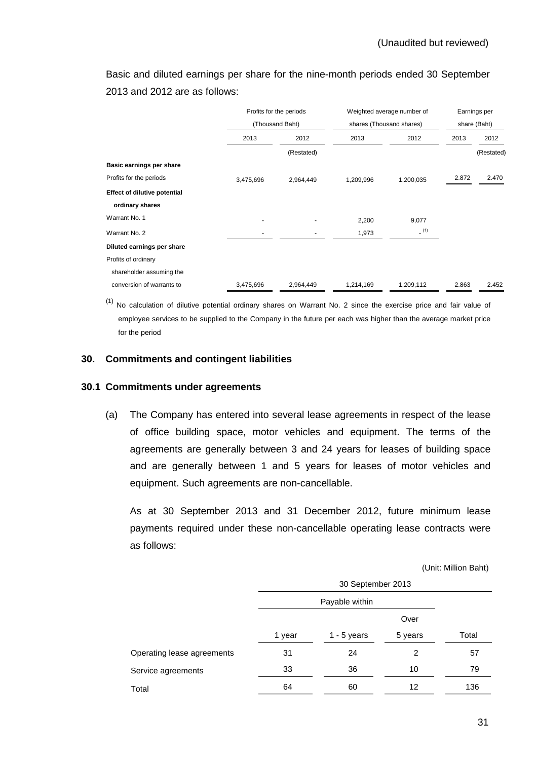Basic and diluted earnings per share for the nine-month periods ended 30 September 2013 and 2012 are as follows:

|                                     | Profits for the periods<br>(Thousand Baht) |            | Weighted average number of<br>shares (Thousand shares) |           | Earnings per<br>share (Baht) |            |
|-------------------------------------|--------------------------------------------|------------|--------------------------------------------------------|-----------|------------------------------|------------|
|                                     |                                            |            |                                                        |           |                              |            |
|                                     | 2013                                       | 2012       | 2013                                                   | 2012      | 2013                         | 2012       |
|                                     |                                            | (Restated) |                                                        |           |                              | (Restated) |
| Basic earnings per share            |                                            |            |                                                        |           |                              |            |
| Profits for the periods             | 3,475,696                                  | 2,964,449  | 1,209,996                                              | 1,200,035 | 2.872                        | 2.470      |
| <b>Effect of dilutive potential</b> |                                            |            |                                                        |           |                              |            |
| ordinary shares                     |                                            |            |                                                        |           |                              |            |
| Warrant No. 1                       |                                            |            | 2,200                                                  | 9,077     |                              |            |
| Warrant No. 2                       |                                            |            | 1,973                                                  | (1)       |                              |            |
| Diluted earnings per share          |                                            |            |                                                        |           |                              |            |
| Profits of ordinary                 |                                            |            |                                                        |           |                              |            |
| shareholder assuming the            |                                            |            |                                                        |           |                              |            |
| conversion of warrants to           | 3,475,696                                  | 2,964,449  | 1,214,169                                              | 1,209,112 | 2.863                        | 2.452      |

 $(1)$  No calculation of dilutive potential ordinary shares on Warrant No. 2 since the exercise price and fair value of employee services to be supplied to the Company in the future per each was higher than the average market price for the period

## **30. Commitments and contingent liabilities**

### **30.1 Commitments under agreements**

(a) The Company has entered into several lease agreements in respect of the lease of office building space, motor vehicles and equipment. The terms of the agreements are generally between 3 and 24 years for leases of building space and are generally between 1 and 5 years for leases of motor vehicles and equipment. Such agreements are non-cancellable.

 As at 30 September 2013 and 31 December 2012, future minimum lease payments required under these non-cancellable operating lease contracts were as follows:

(Unit: Million Baht)

|                            | 30 September 2013 |                |         |       |
|----------------------------|-------------------|----------------|---------|-------|
|                            |                   | Payable within |         |       |
|                            |                   |                | Over    |       |
|                            | 1 year            | 1 - 5 years    | 5 years | Total |
| Operating lease agreements | 31                | 24             | 2       | 57    |
| Service agreements         | 33                | 36             | 10      | 79    |
| Total                      | 64                | 60             | 12      | 136   |